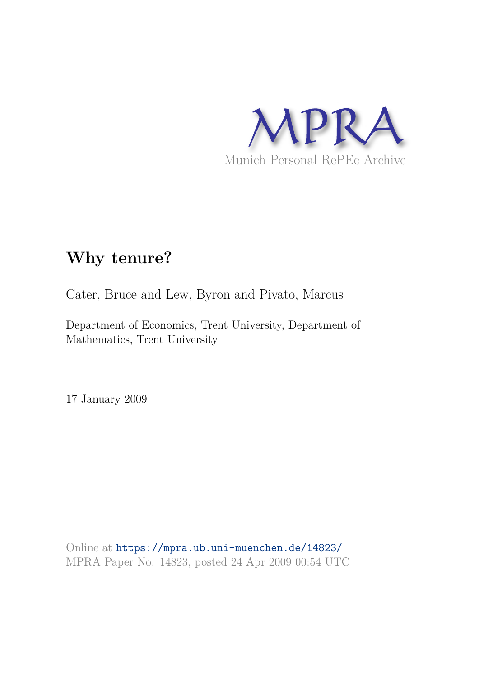

# **Why tenure?**

Cater, Bruce and Lew, Byron and Pivato, Marcus

Department of Economics, Trent University, Department of Mathematics, Trent University

17 January 2009

Online at https://mpra.ub.uni-muenchen.de/14823/ MPRA Paper No. 14823, posted 24 Apr 2009 00:54 UTC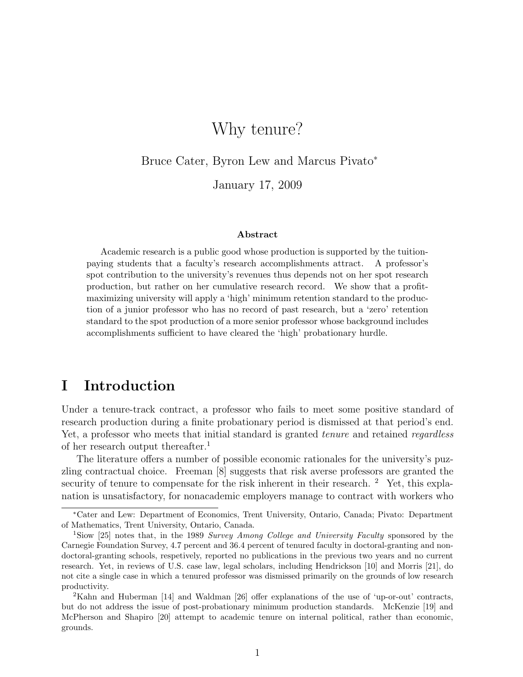## Why tenure?

Bruce Cater, Byron Lew and Marcus Pivato<sup>∗</sup>

January 17, 2009

#### Abstract

Academic research is a public good whose production is supported by the tuitionpaying students that a faculty's research accomplishments attract. A professor's spot contribution to the university's revenues thus depends not on her spot research production, but rather on her cumulative research record. We show that a profitmaximizing university will apply a 'high' minimum retention standard to the production of a junior professor who has no record of past research, but a 'zero' retention standard to the spot production of a more senior professor whose background includes accomplishments sufficient to have cleared the 'high' probationary hurdle.

## I Introduction

Under a tenure-track contract, a professor who fails to meet some positive standard of research production during a finite probationary period is dismissed at that period's end. Yet, a professor who meets that initial standard is granted *tenure* and retained *regardless* of her research output thereafter.<sup>1</sup>

The literature offers a number of possible economic rationales for the university's puzzling contractual choice. Freeman [8] suggests that risk averse professors are granted the security of tenure to compensate for the risk inherent in their research. <sup>2</sup> Yet, this explanation is unsatisfactory, for nonacademic employers manage to contract with workers who

<sup>∗</sup>Cater and Lew: Department of Economics, Trent University, Ontario, Canada; Pivato: Department of Mathematics, Trent University, Ontario, Canada.

<sup>1</sup>Siow [25] notes that, in the 1989 Survey Among College and University Faculty sponsored by the Carnegie Foundation Survey, 4.7 percent and 36.4 percent of tenured faculty in doctoral-granting and nondoctoral-granting schools, respetively, reported no publications in the previous two years and no current research. Yet, in reviews of U.S. case law, legal scholars, including Hendrickson [10] and Morris [21], do not cite a single case in which a tenured professor was dismissed primarily on the grounds of low research productivity.

<sup>2</sup>Kahn and Huberman [14] and Waldman [26] offer explanations of the use of 'up-or-out' contracts, but do not address the issue of post-probationary minimum production standards. McKenzie [19] and McPherson and Shapiro [20] attempt to academic tenure on internal political, rather than economic, grounds.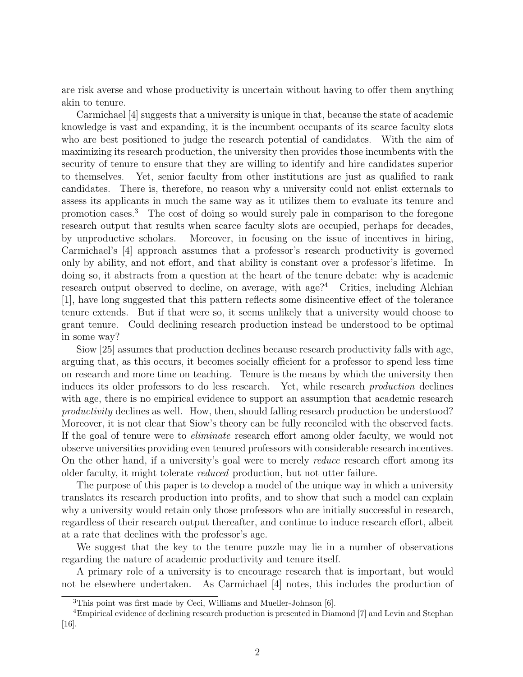are risk averse and whose productivity is uncertain without having to offer them anything akin to tenure.

Carmichael [4] suggests that a university is unique in that, because the state of academic knowledge is vast and expanding, it is the incumbent occupants of its scarce faculty slots who are best positioned to judge the research potential of candidates. With the aim of maximizing its research production, the university then provides those incumbents with the security of tenure to ensure that they are willing to identify and hire candidates superior to themselves. Yet, senior faculty from other institutions are just as qualified to rank candidates. There is, therefore, no reason why a university could not enlist externals to assess its applicants in much the same way as it utilizes them to evaluate its tenure and promotion cases.<sup>3</sup> The cost of doing so would surely pale in comparison to the foregone research output that results when scarce faculty slots are occupied, perhaps for decades, by unproductive scholars. Moreover, in focusing on the issue of incentives in hiring, Carmichael's [4] approach assumes that a professor's research productivity is governed only by ability, and not effort, and that ability is constant over a professor's lifetime. In doing so, it abstracts from a question at the heart of the tenure debate: why is academic research output observed to decline, on average, with age?<sup>4</sup> Critics, including Alchian [1], have long suggested that this pattern reflects some disincentive effect of the tolerance tenure extends. But if that were so, it seems unlikely that a university would choose to grant tenure. Could declining research production instead be understood to be optimal in some way?

Siow [25] assumes that production declines because research productivity falls with age, arguing that, as this occurs, it becomes socially efficient for a professor to spend less time on research and more time on teaching. Tenure is the means by which the university then induces its older professors to do less research. Yet, while research production declines with age, there is no empirical evidence to support an assumption that academic research productivity declines as well. How, then, should falling research production be understood? Moreover, it is not clear that Siow's theory can be fully reconciled with the observed facts. If the goal of tenure were to eliminate research effort among older faculty, we would not observe universities providing even tenured professors with considerable research incentives. On the other hand, if a university's goal were to merely reduce research effort among its older faculty, it might tolerate reduced production, but not utter failure.

The purpose of this paper is to develop a model of the unique way in which a university translates its research production into profits, and to show that such a model can explain why a university would retain only those professors who are initially successful in research, regardless of their research output thereafter, and continue to induce research effort, albeit at a rate that declines with the professor's age.

We suggest that the key to the tenure puzzle may lie in a number of observations regarding the nature of academic productivity and tenure itself.

A primary role of a university is to encourage research that is important, but would not be elsewhere undertaken. As Carmichael [4] notes, this includes the production of

<sup>3</sup>This point was first made by Ceci, Williams and Mueller-Johnson [6].

<sup>4</sup>Empirical evidence of declining research production is presented in Diamond [7] and Levin and Stephan [16].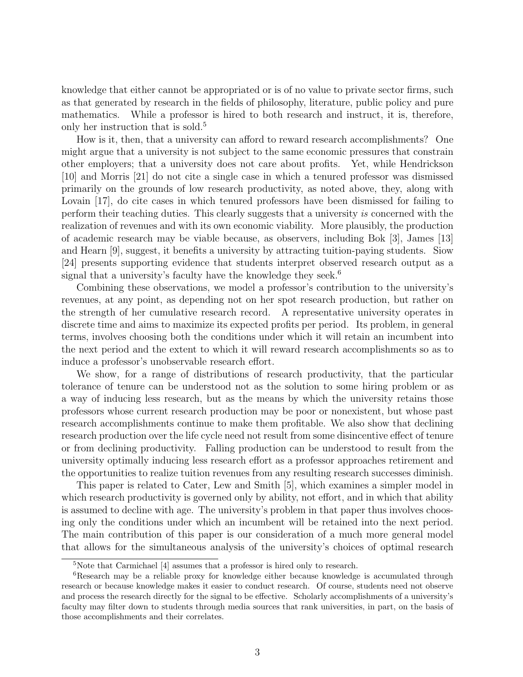knowledge that either cannot be appropriated or is of no value to private sector firms, such as that generated by research in the fields of philosophy, literature, public policy and pure mathematics. While a professor is hired to both research and instruct, it is, therefore, only her instruction that is sold.<sup>5</sup>

How is it, then, that a university can afford to reward research accomplishments? One might argue that a university is not subject to the same economic pressures that constrain other employers; that a university does not care about profits. Yet, while Hendrickson [10] and Morris [21] do not cite a single case in which a tenured professor was dismissed primarily on the grounds of low research productivity, as noted above, they, along with Lovain [17], do cite cases in which tenured professors have been dismissed for failing to perform their teaching duties. This clearly suggests that a university is concerned with the realization of revenues and with its own economic viability. More plausibly, the production of academic research may be viable because, as observers, including Bok [3], James [13] and Hearn [9], suggest, it benefits a university by attracting tuition-paying students. Siow [24] presents supporting evidence that students interpret observed research output as a signal that a university's faculty have the knowledge they seek.<sup>6</sup>

Combining these observations, we model a professor's contribution to the university's revenues, at any point, as depending not on her spot research production, but rather on the strength of her cumulative research record. A representative university operates in discrete time and aims to maximize its expected profits per period. Its problem, in general terms, involves choosing both the conditions under which it will retain an incumbent into the next period and the extent to which it will reward research accomplishments so as to induce a professor's unobservable research effort.

We show, for a range of distributions of research productivity, that the particular tolerance of tenure can be understood not as the solution to some hiring problem or as a way of inducing less research, but as the means by which the university retains those professors whose current research production may be poor or nonexistent, but whose past research accomplishments continue to make them profitable. We also show that declining research production over the life cycle need not result from some disincentive effect of tenure or from declining productivity. Falling production can be understood to result from the university optimally inducing less research effort as a professor approaches retirement and the opportunities to realize tuition revenues from any resulting research successes diminish.

This paper is related to Cater, Lew and Smith [5], which examines a simpler model in which research productivity is governed only by ability, not effort, and in which that ability is assumed to decline with age. The university's problem in that paper thus involves choosing only the conditions under which an incumbent will be retained into the next period. The main contribution of this paper is our consideration of a much more general model that allows for the simultaneous analysis of the university's choices of optimal research

<sup>5</sup>Note that Carmichael [4] assumes that a professor is hired only to research.

<sup>&</sup>lt;sup>6</sup>Research may be a reliable proxy for knowledge either because knowledge is accumulated through research or because knowledge makes it easier to conduct research. Of course, students need not observe and process the research directly for the signal to be effective. Scholarly accomplishments of a university's faculty may filter down to students through media sources that rank universities, in part, on the basis of those accomplishments and their correlates.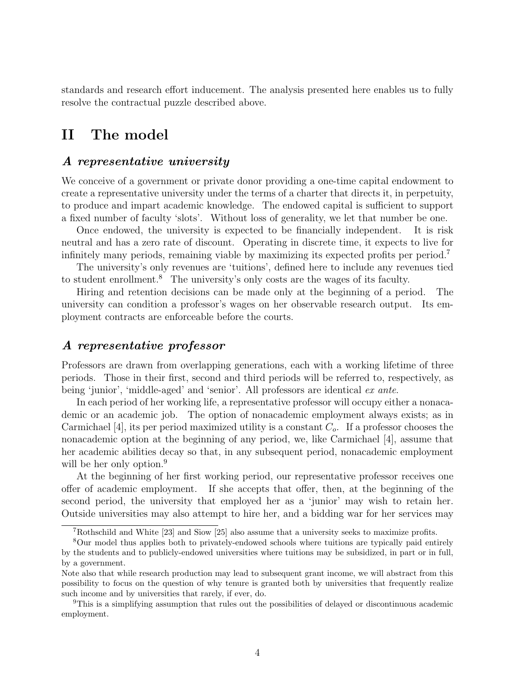standards and research effort inducement. The analysis presented here enables us to fully resolve the contractual puzzle described above.

### II The model

#### A representative university

We conceive of a government or private donor providing a one-time capital endowment to create a representative university under the terms of a charter that directs it, in perpetuity, to produce and impart academic knowledge. The endowed capital is sufficient to support a fixed number of faculty 'slots'. Without loss of generality, we let that number be one.

Once endowed, the university is expected to be financially independent. It is risk neutral and has a zero rate of discount. Operating in discrete time, it expects to live for infinitely many periods, remaining viable by maximizing its expected profits per period.<sup>7</sup>

The university's only revenues are 'tuitions', defined here to include any revenues tied to student enrollment.<sup>8</sup> The university's only costs are the wages of its faculty.

Hiring and retention decisions can be made only at the beginning of a period. The university can condition a professor's wages on her observable research output. Its employment contracts are enforceable before the courts.

### A representative professor

Professors are drawn from overlapping generations, each with a working lifetime of three periods. Those in their first, second and third periods will be referred to, respectively, as being 'junior', 'middle-aged' and 'senior'. All professors are identical ex ante.

In each period of her working life, a representative professor will occupy either a nonacademic or an academic job. The option of nonacademic employment always exists; as in Carmichael [4], its per period maximized utility is a constant  $C<sub>o</sub>$ . If a professor chooses the nonacademic option at the beginning of any period, we, like Carmichael [4], assume that her academic abilities decay so that, in any subsequent period, nonacademic employment will be her only option.<sup>9</sup>

At the beginning of her first working period, our representative professor receives one offer of academic employment. If she accepts that offer, then, at the beginning of the second period, the university that employed her as a 'junior' may wish to retain her. Outside universities may also attempt to hire her, and a bidding war for her services may

<sup>7</sup>Rothschild and White [23] and Siow [25] also assume that a university seeks to maximize profits.

<sup>8</sup>Our model thus applies both to privately-endowed schools where tuitions are typically paid entirely by the students and to publicly-endowed universities where tuitions may be subsidized, in part or in full, by a government.

Note also that while research production may lead to subsequent grant income, we will abstract from this possibility to focus on the question of why tenure is granted both by universities that frequently realize such income and by universities that rarely, if ever, do.

<sup>9</sup>This is a simplifying assumption that rules out the possibilities of delayed or discontinuous academic employment.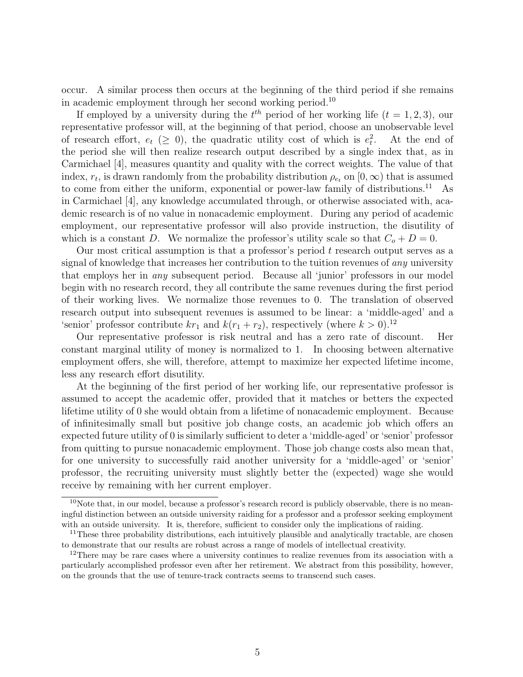occur. A similar process then occurs at the beginning of the third period if she remains in academic employment through her second working period.<sup>10</sup>

If employed by a university during the  $t^{th}$  period of her working life  $(t = 1, 2, 3)$ , our representative professor will, at the beginning of that period, choose an unobservable level of research effort,  $e_t$  ( $\geq 0$ ), the quadratic utility cost of which is  $e_t^2$ . At the end of the period she will then realize research output described by a single index that, as in Carmichael [4], measures quantity and quality with the correct weights. The value of that index,  $r_t$ , is drawn randomly from the probability distribution  $\rho_{e_t}$  on  $[0, \infty)$  that is assumed to come from either the uniform, exponential or power-law family of distributions.<sup>11</sup> As in Carmichael [4], any knowledge accumulated through, or otherwise associated with, academic research is of no value in nonacademic employment. During any period of academic employment, our representative professor will also provide instruction, the disutility of which is a constant D. We normalize the professor's utility scale so that  $C_o + D = 0$ .

Our most critical assumption is that a professor's period t research output serves as a signal of knowledge that increases her contribution to the tuition revenues of *any* university that employs her in any subsequent period. Because all 'junior' professors in our model begin with no research record, they all contribute the same revenues during the first period of their working lives. We normalize those revenues to 0. The translation of observed research output into subsequent revenues is assumed to be linear: a 'middle-aged' and a 'senior' professor contribute  $kr_1$  and  $k(r_1 + r_2)$ , respectively (where  $k > 0$ ).<sup>12</sup>

Our representative professor is risk neutral and has a zero rate of discount. Her constant marginal utility of money is normalized to 1. In choosing between alternative employment offers, she will, therefore, attempt to maximize her expected lifetime income, less any research effort disutility.

At the beginning of the first period of her working life, our representative professor is assumed to accept the academic offer, provided that it matches or betters the expected lifetime utility of 0 she would obtain from a lifetime of nonacademic employment. Because of infinitesimally small but positive job change costs, an academic job which offers an expected future utility of 0 is similarly sufficient to deter a 'middle-aged' or 'senior' professor from quitting to pursue nonacademic employment. Those job change costs also mean that, for one university to successfully raid another university for a 'middle-aged' or 'senior' professor, the recruiting university must slightly better the (expected) wage she would receive by remaining with her current employer.

 $10$ Note that, in our model, because a professor's research record is publicly observable, there is no meaningful distinction between an outside university raiding for a professor and a professor seeking employment with an outside university. It is, therefore, sufficient to consider only the implications of raiding.

 $11$ These three probability distributions, each intuitively plausible and analytically tractable, are chosen to demonstrate that our results are robust across a range of models of intellectual creativity.

 $12$ There may be rare cases where a university continues to realize revenues from its association with a particularly accomplished professor even after her retirement. We abstract from this possibility, however, on the grounds that the use of tenure-track contracts seems to transcend such cases.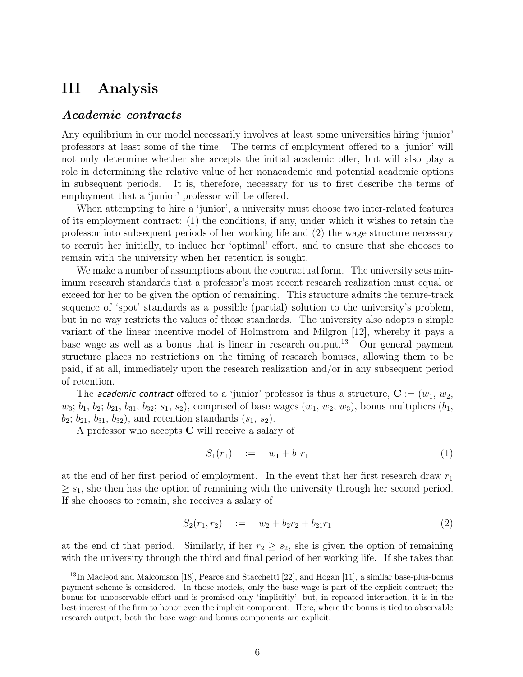### III Analysis

#### Academic contracts

Any equilibrium in our model necessarily involves at least some universities hiring 'junior' professors at least some of the time. The terms of employment offered to a 'junior' will not only determine whether she accepts the initial academic offer, but will also play a role in determining the relative value of her nonacademic and potential academic options in subsequent periods. It is, therefore, necessary for us to first describe the terms of employment that a 'junior' professor will be offered.

When attempting to hire a 'junior', a university must choose two inter-related features of its employment contract: (1) the conditions, if any, under which it wishes to retain the professor into subsequent periods of her working life and (2) the wage structure necessary to recruit her initially, to induce her 'optimal' effort, and to ensure that she chooses to remain with the university when her retention is sought.

We make a number of assumptions about the contractual form. The university sets minimum research standards that a professor's most recent research realization must equal or exceed for her to be given the option of remaining. This structure admits the tenure-track sequence of 'spot' standards as a possible (partial) solution to the university's problem, but in no way restricts the values of those standards. The university also adopts a simple variant of the linear incentive model of Holmstrom and Milgron [12], whereby it pays a base wage as well as a bonus that is linear in research output.<sup>13</sup> Our general payment structure places no restrictions on the timing of research bonuses, allowing them to be paid, if at all, immediately upon the research realization and/or in any subsequent period of retention.

The *academic contract* offered to a 'junior' professor is thus a structure,  $C := (w_1, w_2,$  $w_3; b_1, b_2; b_{21}, b_{31}, b_{32}; s_1, s_2$ , comprised of base wages  $(w_1, w_2, w_3)$ , bonus multipliers  $(b_1,$  $b_2$ ;  $b_{21}$ ,  $b_{31}$ ,  $b_{32}$ ), and retention standards  $(s_1, s_2)$ .

A professor who accepts C will receive a salary of

$$
S_1(r_1) \quad := \quad w_1 + b_1 r_1 \tag{1}
$$

at the end of her first period of employment. In the event that her first research draw  $r_1$  $\geq s_1$ , she then has the option of remaining with the university through her second period. If she chooses to remain, she receives a salary of

$$
S_2(r_1, r_2) \quad := \quad w_2 + b_2 r_2 + b_{21} r_1 \tag{2}
$$

at the end of that period. Similarly, if her  $r_2 \geq s_2$ , she is given the option of remaining with the university through the third and final period of her working life. If she takes that

<sup>&</sup>lt;sup>13</sup>In Macleod and Malcomson [18], Pearce and Stacchetti [22], and Hogan [11], a similar base-plus-bonus payment scheme is considered. In those models, only the base wage is part of the explicit contract; the bonus for unobservable effort and is promised only 'implicitly', but, in repeated interaction, it is in the best interest of the firm to honor even the implicit component. Here, where the bonus is tied to observable research output, both the base wage and bonus components are explicit.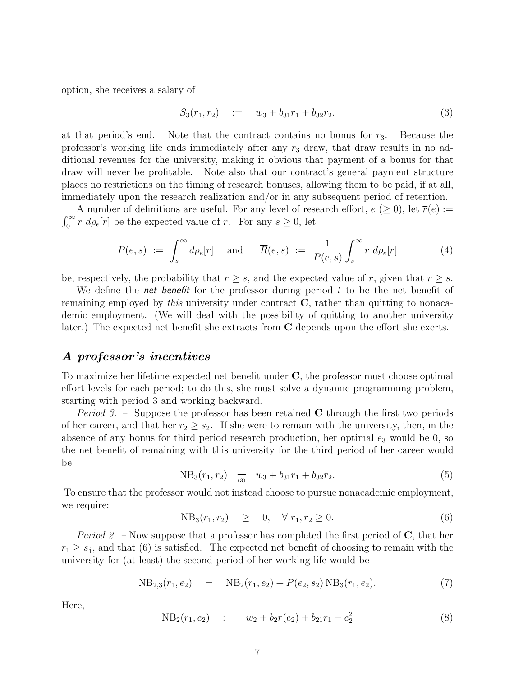option, she receives a salary of

$$
S_3(r_1, r_2) \quad := \quad w_3 + b_{31}r_1 + b_{32}r_2. \tag{3}
$$

at that period's end. Note that the contract contains no bonus for  $r_3$ . Because the professor's working life ends immediately after any  $r_3$  draw, that draw results in no additional revenues for the university, making it obvious that payment of a bonus for that draw will never be profitable. Note also that our contract's general payment structure places no restrictions on the timing of research bonuses, allowing them to be paid, if at all, immediately upon the research realization and/or in any subsequent period of retention.

A number of definitions are useful. For any level of research effort,  $e \ (\geq 0)$ , let  $\overline{r}(e) :=$  $\int_0^\infty r \, d\rho_e[r]$  be the expected value of r. For any  $s \ge 0$ , let

$$
P(e,s) := \int_s^{\infty} d\rho_e[r] \quad \text{and} \quad \overline{R}(e,s) := \frac{1}{P(e,s)} \int_s^{\infty} r \, d\rho_e[r] \tag{4}
$$

be, respectively, the probability that  $r \geq s$ , and the expected value of r, given that  $r \geq s$ .

We define the *net benefit* for the professor during period  $t$  to be the net benefit of remaining employed by *this* university under contract  $C$ , rather than quitting to nonacademic employment. (We will deal with the possibility of quitting to another university later.) The expected net benefit she extracts from C depends upon the effort she exerts.

#### A professor's incentives

To maximize her lifetime expected net benefit under C, the professor must choose optimal effort levels for each period; to do this, she must solve a dynamic programming problem, starting with period 3 and working backward.

*Period 3.* – Suppose the professor has been retained **C** through the first two periods of her career, and that her  $r_2 \geq s_2$ . If she were to remain with the university, then, in the absence of any bonus for third period research production, her optimal  $e_3$  would be 0, so the net benefit of remaining with this university for the third period of her career would be

$$
NB_3(r_1, r_2) = \frac{1}{(3)} \quad w_3 + b_{31}r_1 + b_{32}r_2. \tag{5}
$$

To ensure that the professor would not instead choose to pursue nonacademic employment, we require:

$$
NB_3(r_1, r_2) \geq 0, \quad \forall \ r_1, r_2 \geq 0. \tag{6}
$$

*Period 2.* – Now suppose that a professor has completed the first period of  $C$ , that her  $r_1 \geq s_1$ , and that (6) is satisfied. The expected net benefit of choosing to remain with the university for (at least) the second period of her working life would be

$$
NB_{2,3}(r_1, e_2) = NB_2(r_1, e_2) + P(e_2, s_2) NB_3(r_1, e_2).
$$
\n(7)

Here,

$$
NB_2(r_1, e_2) := w_2 + b_2 \overline{r}(e_2) + b_{21}r_1 - e_2^2
$$
\n(8)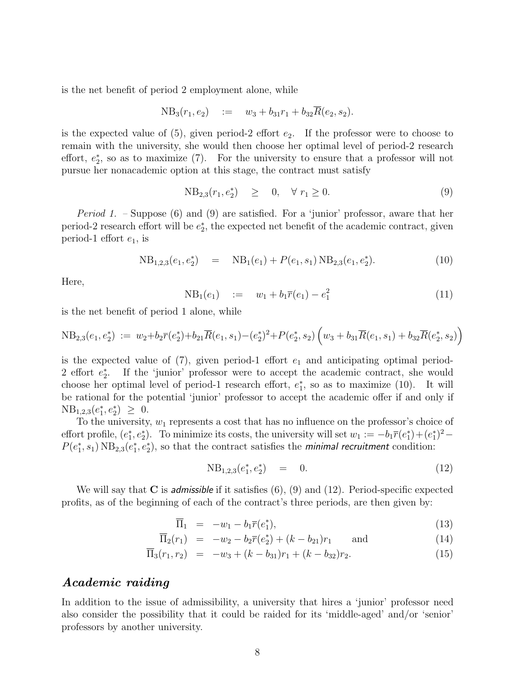is the net benefit of period 2 employment alone, while

$$
NB_3(r_1, e_2) \quad := \quad w_3 + b_{31}r_1 + b_{32}R(e_2, s_2).
$$

is the expected value of  $(5)$ , given period-2 effort  $e_2$ . If the professor were to choose to remain with the university, she would then choose her optimal level of period-2 research effort,  $e_2^*$ , so as to maximize (7). For the university to ensure that a professor will not pursue her nonacademic option at this stage, the contract must satisfy

$$
NB_{2,3}(r_1, e_2^*) \geq 0, \quad \forall \ r_1 \geq 0. \tag{9}
$$

*Period 1.* – Suppose (6) and (9) are satisfied. For a 'junior' professor, aware that her period-2 research effort will be  $e_2^*$ , the expected net benefit of the academic contract, given period-1 effort  $e_1$ , is

$$
NB_{1,2,3}(e_1, e_2^*) = NB_1(e_1) + P(e_1, s_1) NB_{2,3}(e_1, e_2^*).
$$
\n(10)

Here,

$$
NB_1(e_1) := w_1 + b_1 \overline{r}(e_1) - e_1^2 \tag{11}
$$

is the net benefit of period 1 alone, while

$$
NB_{2,3}(e_1, e_2^*) := w_2 + b_2 \overline{r}(e_2^*) + b_{21} \overline{R}(e_1, s_1) - (e_2^*)^2 + P(e_2^*, s_2) \left(w_3 + b_{31} \overline{R}(e_1, s_1) + b_{32} \overline{R}(e_2^*, s_2)\right)
$$

is the expected value of  $(7)$ , given period-1 effort  $e_1$  and anticipating optimal period-2 effort  $e_2^*$ . If the 'junior' professor were to accept the academic contract, she would choose her optimal level of period-1 research effort,  $e_1^*$ , so as to maximize (10). It will be rational for the potential 'junior' professor to accept the academic offer if and only if  $NB_{1,2,3}(e_1^*, e_2^*) \geq 0.$ 

To the university,  $w_1$  represents a cost that has no influence on the professor's choice of effort profile,  $(e_1^*, e_2^*)$ . To minimize its costs, the university will set  $w_1 := -b_1 \overline{r}(e_1^*) + (e_1^*)^2 P(e_1^*, s_1) \text{ NB}_{2,3}(e_1^*, e_2^*)$ , so that the contract satisfies the *minimal recruitment* condition:

$$
NB_{1,2,3}(e_1^*, e_2^*) = 0. \t(12)
$$

We will say that  $C$  is *admissible* if it satisfies  $(6)$ ,  $(9)$  and  $(12)$ . Period-specific expected profits, as of the beginning of each of the contract's three periods, are then given by:

$$
\overline{\Pi}_1 = -w_1 - b_1 \overline{r}(e_1^*), \tag{13}
$$

$$
\overline{\Pi}_2(r_1) = -w_2 - b_2 \overline{r}(e_2^*) + (k - b_{21})r_1 \quad \text{and} \quad (14)
$$

$$
\overline{\Pi}_3(r_1, r_2) = -w_3 + (k - b_{31})r_1 + (k - b_{32})r_2.
$$
\n(15)

#### Academic raiding

In addition to the issue of admissibility, a university that hires a 'junior' professor need also consider the possibility that it could be raided for its 'middle-aged' and/or 'senior' professors by another university.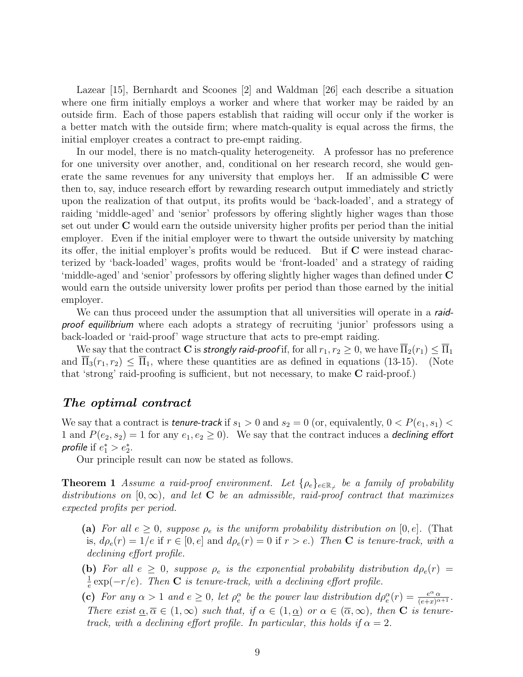Lazear [15], Bernhardt and Scoones [2] and Waldman [26] each describe a situation where one firm initially employs a worker and where that worker may be raided by an outside firm. Each of those papers establish that raiding will occur only if the worker is a better match with the outside firm; where match-quality is equal across the firms, the initial employer creates a contract to pre-empt raiding.

In our model, there is no match-quality heterogeneity. A professor has no preference for one university over another, and, conditional on her research record, she would generate the same revenues for any university that employs her. If an admissible  $C$  were then to, say, induce research effort by rewarding research output immediately and strictly upon the realization of that output, its profits would be 'back-loaded', and a strategy of raiding 'middle-aged' and 'senior' professors by offering slightly higher wages than those set out under C would earn the outside university higher profits per period than the initial employer. Even if the initial employer were to thwart the outside university by matching its offer, the initial employer's profits would be reduced. But if C were instead characterized by 'back-loaded' wages, profits would be 'front-loaded' and a strategy of raiding 'middle-aged' and 'senior' professors by offering slightly higher wages than defined under C would earn the outside university lower profits per period than those earned by the initial employer.

We can thus proceed under the assumption that all universities will operate in a raidproof equilibrium where each adopts a strategy of recruiting 'junior' professors using a back-loaded or 'raid-proof' wage structure that acts to pre-empt raiding.

We say that the contract **C** is **strongly raid-proof** if, for all  $r_1, r_2 \ge 0$ , we have  $\overline{\Pi}_2(r_1) \le \overline{\Pi}_1$ <br> $\overline{\Pi}_3(r_1, r_2) < \overline{\Pi}_1$ , where these quantities are as defined in equations (13-15). (Note and  $\overline{\Pi}_3(r_1, r_2) \leq \overline{\Pi}_1$ , where these quantities are as defined in equations (13-15). that 'strong' raid-proofing is sufficient, but not necessary, to make C raid-proof.)

#### The optimal contract

We say that a contract is **tenure-track** if  $s_1 > 0$  and  $s_2 = 0$  (or, equivalently,  $0 < P(e_1, s_1)$ ) 1 and  $P(e_2, s_2) = 1$  for any  $e_1, e_2 \ge 0$ . We say that the contract induces a **declining effort** profile if  $e_1^* > e_2^*$ .

Our principle result can now be stated as follows.

**Theorem 1** Assume a raid-proof environment. Let  $\{\rho_e\}_{e \in \mathbb{R}_+}$  be a family of probability distributions on  $[0,\infty)$ , and let C be an admissible, raid-proof contract that maximizes expected profits per period.

- (a) For all  $e \geq 0$ , suppose  $\rho_e$  is the uniform probability distribution on [0, e]. (That is,  $d\rho_e(r) = 1/e$  if  $r \in [0, e]$  and  $d\rho_e(r) = 0$  if  $r > e$ .) Then **C** is tenure-track, with a declining effort profile.
- (b) For all  $e \geq 0$ , suppose  $\rho_e$  is the exponential probability distribution  $d\rho_e(r)$  = 1  $\frac{1}{e}$  exp(-r/e). Then **C** is tenure-track, with a declining effort profile.
- (c) For any  $\alpha > 1$  and  $e \geq 0$ , let  $\rho_e^{\alpha}$  be the power law distribution  $d\rho_e^{\alpha}(r) = \frac{e^{\alpha} \alpha}{(e+x)^{\alpha+1}}$ . There exist  $\alpha, \overline{\alpha} \in (1,\infty)$  such that, if  $\alpha \in (1,\alpha)$  or  $\alpha \in (\overline{\alpha},\infty)$ , then **C** is tenuretrack, with a declining effort profile. In particular, this holds if  $\alpha = 2$ .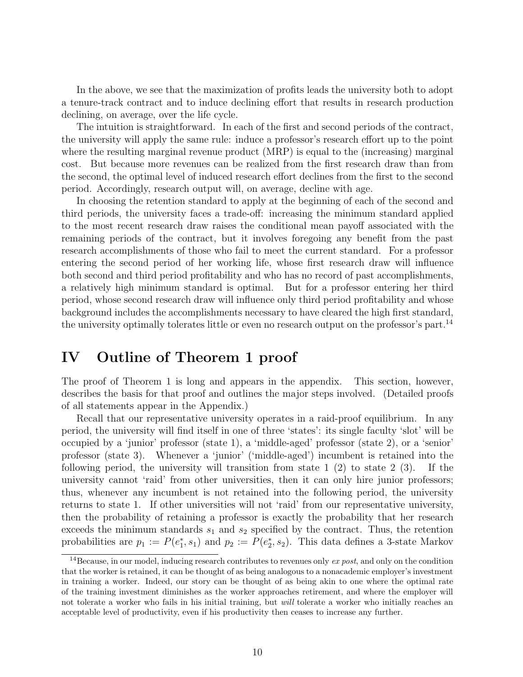In the above, we see that the maximization of profits leads the university both to adopt a tenure-track contract and to induce declining effort that results in research production declining, on average, over the life cycle.

The intuition is straightforward. In each of the first and second periods of the contract, the university will apply the same rule: induce a professor's research effort up to the point where the resulting marginal revenue product (MRP) is equal to the (increasing) marginal cost. But because more revenues can be realized from the first research draw than from the second, the optimal level of induced research effort declines from the first to the second period. Accordingly, research output will, on average, decline with age.

In choosing the retention standard to apply at the beginning of each of the second and third periods, the university faces a trade-off: increasing the minimum standard applied to the most recent research draw raises the conditional mean payoff associated with the remaining periods of the contract, but it involves foregoing any benefit from the past research accomplishments of those who fail to meet the current standard. For a professor entering the second period of her working life, whose first research draw will influence both second and third period profitability and who has no record of past accomplishments, a relatively high minimum standard is optimal. But for a professor entering her third period, whose second research draw will influence only third period profitability and whose background includes the accomplishments necessary to have cleared the high first standard, the university optimally tolerates little or even no research output on the professor's part.<sup>14</sup>

### IV Outline of Theorem 1 proof

The proof of Theorem 1 is long and appears in the appendix. This section, however, describes the basis for that proof and outlines the major steps involved. (Detailed proofs of all statements appear in the Appendix.)

Recall that our representative university operates in a raid-proof equilibrium. In any period, the university will find itself in one of three 'states': its single faculty 'slot' will be occupied by a 'junior' professor (state 1), a 'middle-aged' professor (state 2), or a 'senior' professor (state 3). Whenever a 'junior' ('middle-aged') incumbent is retained into the following period, the university will transition from state  $1\ (2)$  to state  $2\ (3)$ . If the university cannot 'raid' from other universities, then it can only hire junior professors; thus, whenever any incumbent is not retained into the following period, the university returns to state 1. If other universities will not 'raid' from our representative university, then the probability of retaining a professor is exactly the probability that her research exceeds the minimum standards  $s_1$  and  $s_2$  specified by the contract. Thus, the retention probabilities are  $p_1 := P(e_1^*, s_1)$  and  $p_2 := P(e_2^*, s_2)$ . This data defines a 3-state Markov

<sup>&</sup>lt;sup>14</sup>Because, in our model, inducing research contributes to revenues only  $\exp(s\theta t)$ , and only on the condition that the worker is retained, it can be thought of as being analogous to a nonacademic employer's investment in training a worker. Indeed, our story can be thought of as being akin to one where the optimal rate of the training investment diminishes as the worker approaches retirement, and where the employer will not tolerate a worker who fails in his initial training, but will tolerate a worker who initially reaches an acceptable level of productivity, even if his productivity then ceases to increase any further.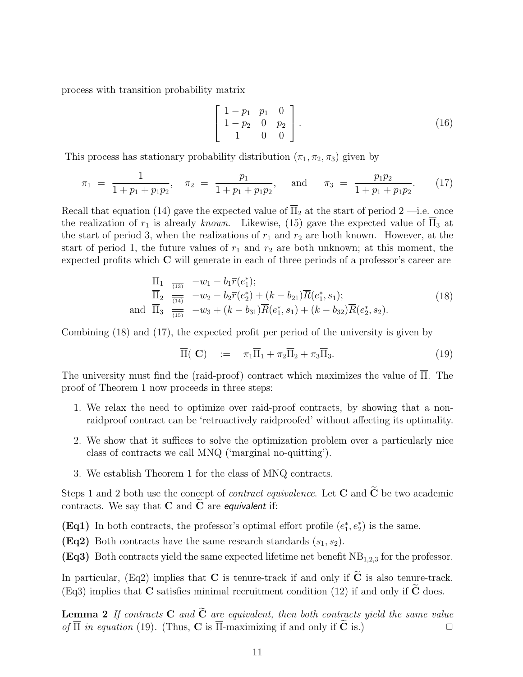process with transition probability matrix

$$
\left[\begin{array}{ccc}\n1-p_1 & p_1 & 0 \\
1-p_2 & 0 & p_2 \\
1 & 0 & 0\n\end{array}\right].
$$
\n(16)

This process has stationary probability distribution  $(\pi_1, \pi_2, \pi_3)$  given by

$$
\pi_1 = \frac{1}{1 + p_1 + p_1 p_2}, \quad \pi_2 = \frac{p_1}{1 + p_1 + p_1 p_2}, \quad \text{and} \quad \pi_3 = \frac{p_1 p_2}{1 + p_1 + p_1 p_2}.
$$
 (17)

Recall that equation (14) gave the expected value of  $\overline{\Pi}_2$  at the start of period 2 —i.e. once the realization of  $r_1$  is already known. Likewise, (15) gave the expected value of  $\overline{\Pi}_3$  at the start of period 3, when the realizations of  $r_1$  and  $r_2$  are both known. However, at the start of period 1, the future values of  $r_1$  and  $r_2$  are both unknown; at this moment, the expected profits which C will generate in each of three periods of a professor's career are

$$
\overline{\Pi}_{1} \quad \overline{\overline{\Pi}_{2}} \quad -w_{1} - b_{1} \overline{r}(e_{1}^{*}); \n\overline{\Pi}_{2} \quad \overline{\overline{\Pi}_{3}} \quad -w_{2} - b_{2} \overline{r}(e_{2}^{*}) + (k - b_{21}) \overline{R}(e_{1}^{*}, s_{1}); \n\text{and } \overline{\Pi}_{3} \quad \overline{\overline{\Pi}_{2}} \quad -w_{3} + (k - b_{31}) \overline{R}(e_{1}^{*}, s_{1}) + (k - b_{32}) \overline{R}(e_{2}^{*}, s_{2}).
$$
\n(18)

Combining (18) and (17), the expected profit per period of the university is given by

$$
\overline{\Pi}(\mathbf{C}) := \pi_1 \overline{\Pi}_1 + \pi_2 \overline{\Pi}_2 + \pi_3 \overline{\Pi}_3. \tag{19}
$$

The university must find the (raid-proof) contract which maximizes the value of Π. The proof of Theorem 1 now proceeds in three steps:

- 1. We relax the need to optimize over raid-proof contracts, by showing that a nonraidproof contract can be 'retroactively raidproofed' without affecting its optimality.
- 2. We show that it suffices to solve the optimization problem over a particularly nice class of contracts we call MNQ ('marginal no-quitting').
- 3. We establish Theorem 1 for the class of MNQ contracts.

Steps 1 and 2 both use the concept of *contract equivalence*. Let C and  $\tilde{C}$  be two academic contracts. We say that  $C$  and  $C$  are *equivalent* if:

(Eq1) In both contracts, the professor's optimal effort profile  $(e_1^*, e_2^*)$  is the same.

(Eq2) Both contracts have the same research standards  $(s_1, s_2)$ .

(Eq3) Both contracts yield the same expected lifetime net benefit  $NB<sub>1,2,3</sub>$  for the professor.

In particular, (Eq2) implies that C is tenure-track if and only if  $\tilde{C}$  is also tenure-track. (Eq3) implies that  $C$  satisfies minimal recruitment condition (12) if and only if  $C$  does.

**Lemma 2** If contracts **C** and  $\tilde{C}$  are equivalent, then both contracts yield the same value of  $\overline{\Pi}$  in equation (19). (Thus, **C** is  $\overline{\Pi}$ -maximizing if and only if  $\tilde{C}$  is.) of  $\overline{\Pi}$  in equation (19). (Thus, **C** is  $\overline{\Pi}$ -maximizing if and only if  $\widetilde{\mathbf{C}}$  is.)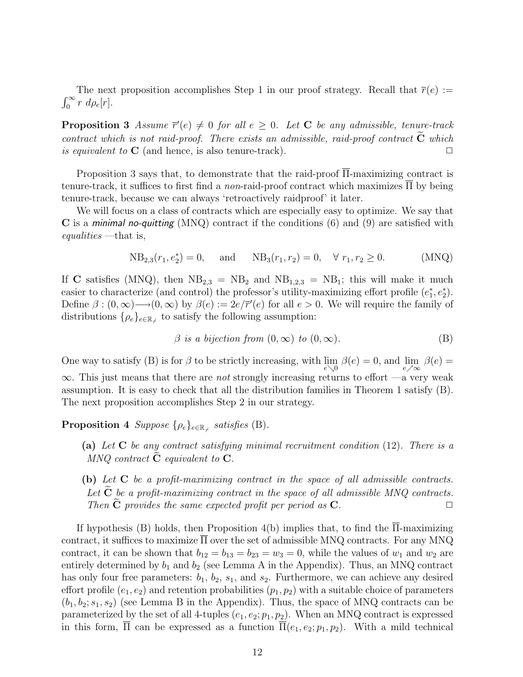The next proposition accomplishes Step 1 in our proof strategy. Recall that  $\bar{r}(e) :=$  $\int_0^\infty r \ d\rho_e[r]$ .

**Proposition 3** Assume  $\overline{r}'(e) \neq 0$  for all  $e \geq 0$ . Let C be any admissible, tenure-track contract which is not raid-proof. There exists an admissible, raid-proof contract  $\tilde{C}$  which is equivalent to  $C$  (and hence, is also tenure-track). is equivalent to  $C$  (and hence, is also tenure-track).

Proposition 3 says that, to demonstrate that the raid-proof  $\overline{\Pi}$ -maximizing contract is tenure-track, it suffices to first find a non-raid-proof contract which maximizes Π by being tenure-track, because we can always 'retroactively raidproof' it later.

We will focus on a class of contracts which are especially easy to optimize. We say that **C** is a *minimal no-quitting* (MNQ) contract if the conditions (6) and (9) are satisfied with equalities —that is,

$$
NB_{2,3}(r_1, e_2^*) = 0
$$
, and  $NB_3(r_1, r_2) = 0$ ,  $\forall r_1, r_2 \ge 0$ . (MNQ)

If C satisfies (MNQ), then  $NB_{2,3} = NB_2$  and  $NB_{1,2,3} = NB_1$ ; this will make it much easier to characterize (and control) the professor's utility-maximizing effort profile  $(e_1^*, e_2^*)$ . Define  $\beta : (0, \infty) \longrightarrow (0, \infty)$  by  $\beta(e) := 2e/\overline{r}'(e)$  for all  $e > 0$ . We will require the family of distributions  $\{\rho_e\}_{e \in \mathbb{R}_{\neq}}$  to satisfy the following assumption:

$$
\beta \text{ is a bijection from } (0, \infty) \text{ to } (0, \infty). \tag{B}
$$

One way to satisfy (B) is for  $\beta$  to be strictly increasing, with  $\lim_{e \searrow 0} \beta(e) = 0$ , and  $\lim_{e \nearrow \infty} \beta(e) = 0$  $\infty$ . This just means that there are *not* strongly increasing returns to effort —a very weak assumption. It is easy to check that all the distribution families in Theorem 1 satisfy (B). The next proposition accomplishes Step 2 in our strategy.

Proposition 4  $Suppose \{\rho_e\}_{e \in \mathbb{R}_+}$  satisfies (B).

- (a) Let  $C$  be any contract satisfying minimal recruitment condition (12). There is a  $MNQ$  contract  $C$  equivalent to  $C$ .
- (b) Let  $C$  be a profit-maximizing contract in the space of all admissible contracts. Let  $\tilde{C}$  be a profit-maximizing contract in the space of all admissible MNQ contracts.<br>Then  $\tilde{C}$  provides the same expected profit per period as  $C$ Then  $C$  provides the same expected profit per period as  $C$ .

If hypothesis (B) holds, then Proposition 4(b) implies that, to find the  $\overline{\Pi}$ -maximizing contract, it suffices to maximize  $\overline{\Pi}$  over the set of admissible MNQ contracts. For any MNQ contract, it can be shown that  $b_{12} = b_{13} = b_{23} = w_3 = 0$ , while the values of  $w_1$  and  $w_2$  are entirely determined by  $b_1$  and  $b_2$  (see Lemma A in the Appendix). Thus, an MNQ contract has only four free parameters:  $b_1$ ,  $b_2$ ,  $s_1$ , and  $s_2$ . Furthermore, we can achieve any desired effort profile  $(e_1, e_2)$  and retention probabilities  $(p_1, p_2)$  with a suitable choice of parameters  $(b_1, b_2; s_1, s_2)$  (see Lemma B in the Appendix). Thus, the space of MNQ contracts can be parameterized by the set of all 4-tuples  $(e_1, e_2; p_1, p_2)$ . When an MNQ contract is expressed in this form,  $\overline{\Pi}$  can be expressed as a function  $\overline{\Pi}(e_1, e_2; p_1, p_2)$ . With a mild technical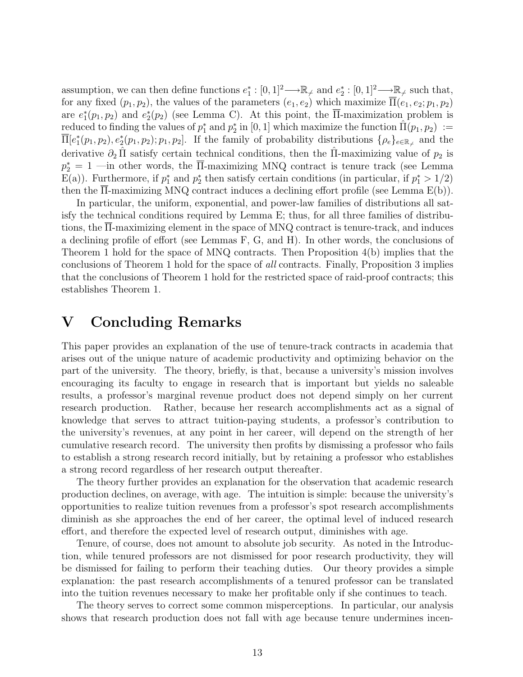assumption, we can then define functions  $e_1^*: [0,1]^2 \longrightarrow \mathbb{R}_{\neq}$  and  $e_2^*: [0,1]^2 \longrightarrow \mathbb{R}_{\neq}$  such that, for any fixed  $(p_1, p_2)$ , the values of the parameters  $(e_1, e_2)$  which maximize  $\overline{\Pi}(e_1, e_2; p_1, p_2)$ are  $e_1^*(p_1, p_2)$  and  $e_2^*(p_2)$  (see Lemma C). At this point, the  $\overline{\Pi}$ -maximization problem is  $\text{reduced to finding the values of } p_1^* \text{ and } p_2^* \text{ in } [0,1] \text{ which maximize the function } \hat{\Pi}(p_1, p_2) \; := \;$  $\overline{\Pi}[e_1^*(p_1,p_2),e_2^*(p_1,p_2);p_1,p_2]$ . If the family of probability distributions  $\{\rho_e\}_{e\in\mathbb{R}_{\neq}}$  and the derivative  $\partial_2 \hat{\Pi}$  satisfy certain technical conditions, then the  $\hat{\Pi}$ -maximizing value of  $p_2$  is  $p_2^* = 1$  —in other words, the  $\overline{\Pi}$ -maximizing MNQ contract is tenure track (see Lemma E(a)). Furthermore, if  $p_1^*$  and  $p_2^*$  then satisfy certain conditions (in particular, if  $p_1^* > 1/2$ ) then the Π-maximizing MNQ contract induces a declining effort profile (see Lemma E(b)).

In particular, the uniform, exponential, and power-law families of distributions all satisfy the technical conditions required by Lemma E; thus, for all three families of distributions, the Π-maximizing element in the space of MNQ contract is tenure-track, and induces a declining profile of effort (see Lemmas F, G, and H). In other words, the conclusions of Theorem 1 hold for the space of MNQ contracts. Then Proposition 4(b) implies that the conclusions of Theorem 1 hold for the space of all contracts. Finally, Proposition 3 implies that the conclusions of Theorem 1 hold for the restricted space of raid-proof contracts; this establishes Theorem 1.

### V Concluding Remarks

This paper provides an explanation of the use of tenure-track contracts in academia that arises out of the unique nature of academic productivity and optimizing behavior on the part of the university. The theory, briefly, is that, because a university's mission involves encouraging its faculty to engage in research that is important but yields no saleable results, a professor's marginal revenue product does not depend simply on her current research production. Rather, because her research accomplishments act as a signal of knowledge that serves to attract tuition-paying students, a professor's contribution to the university's revenues, at any point in her career, will depend on the strength of her cumulative research record. The university then profits by dismissing a professor who fails to establish a strong research record initially, but by retaining a professor who establishes a strong record regardless of her research output thereafter.

The theory further provides an explanation for the observation that academic research production declines, on average, with age. The intuition is simple: because the university's opportunities to realize tuition revenues from a professor's spot research accomplishments diminish as she approaches the end of her career, the optimal level of induced research effort, and therefore the expected level of research output, diminishes with age.

Tenure, of course, does not amount to absolute job security. As noted in the Introduction, while tenured professors are not dismissed for poor research productivity, they will be dismissed for failing to perform their teaching duties. Our theory provides a simple explanation: the past research accomplishments of a tenured professor can be translated into the tuition revenues necessary to make her profitable only if she continues to teach.

The theory serves to correct some common misperceptions. In particular, our analysis shows that research production does not fall with age because tenure undermines incen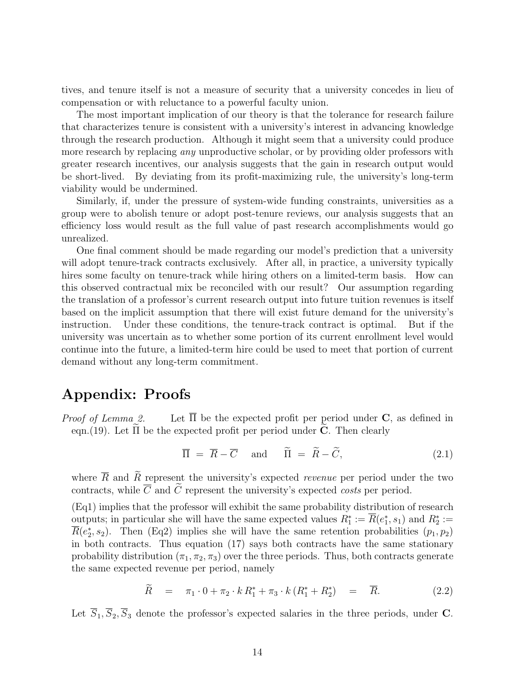tives, and tenure itself is not a measure of security that a university concedes in lieu of compensation or with reluctance to a powerful faculty union.

The most important implication of our theory is that the tolerance for research failure that characterizes tenure is consistent with a university's interest in advancing knowledge through the research production. Although it might seem that a university could produce more research by replacing *any* unproductive scholar, or by providing older professors with greater research incentives, our analysis suggests that the gain in research output would be short-lived. By deviating from its profit-maximizing rule, the university's long-term viability would be undermined.

Similarly, if, under the pressure of system-wide funding constraints, universities as a group were to abolish tenure or adopt post-tenure reviews, our analysis suggests that an efficiency loss would result as the full value of past research accomplishments would go unrealized.

One final comment should be made regarding our model's prediction that a university will adopt tenure-track contracts exclusively. After all, in practice, a university typically hires some faculty on tenure-track while hiring others on a limited-term basis. How can this observed contractual mix be reconciled with our result? Our assumption regarding the translation of a professor's current research output into future tuition revenues is itself based on the implicit assumption that there will exist future demand for the university's instruction. Under these conditions, the tenure-track contract is optimal. But if the university was uncertain as to whether some portion of its current enrollment level would continue into the future, a limited-term hire could be used to meet that portion of current demand without any long-term commitment.

### Appendix: Proofs

*Proof of Lemma 2.* Let  $\Pi$  be the expected profit per period under **C**, as defined in eqn. (19). Let  $\Pi$  be the expected profit per period under **C**. Then clearly

$$
\overline{\Pi} = \overline{R} - \overline{C} \quad \text{and} \quad \widetilde{\Pi} = \widetilde{R} - \widetilde{C}, \tag{2.1}
$$

where  $\overline{R}$  and  $\widetilde{R}$  represent the university's expected *revenue* per period under the two contracts, while  $\overline{C}$  and  $\widetilde{C}$  represent the university's expected costs per period.

(Eq1) implies that the professor will exhibit the same probability distribution of research outputs; in particular she will have the same expected values  $R_1^* := \overline{R}(e_1^*, s_1)$  and  $R_2^* :=$  $\overline{R}(e_2^*, s_2)$ . Then (Eq2) implies she will have the same retention probabilities  $(p_1, p_2)$ in both contracts. Thus equation (17) says both contracts have the same stationary probability distribution  $(\pi_1, \pi_2, \pi_3)$  over the three periods. Thus, both contracts generate the same expected revenue per period, namely

$$
\widetilde{R} = \pi_1 \cdot 0 + \pi_2 \cdot k \, R_1^* + \pi_3 \cdot k \, (R_1^* + R_2^*) = \overline{R}.
$$
 (2.2)

Let  $\overline{S}_1$ ,  $\overline{S}_2$ ,  $\overline{S}_3$  denote the professor's expected salaries in the three periods, under **C**.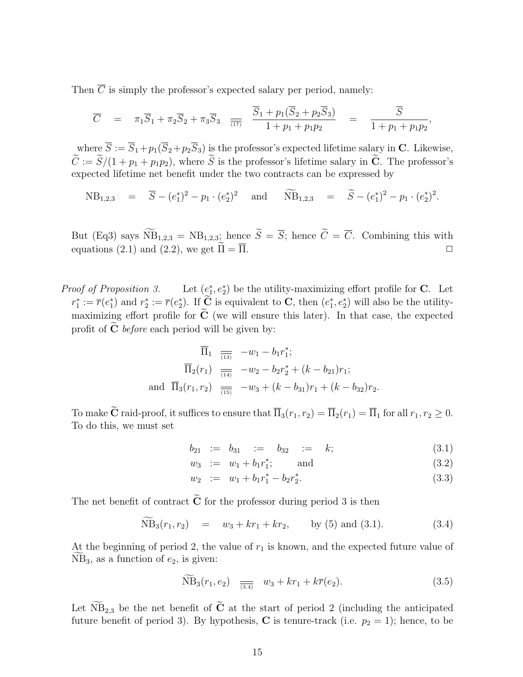Then  $\overline{C}$  is simply the professor's expected salary per period, namely:

$$
\overline{C} = \pi_1 \overline{S}_1 + \pi_2 \overline{S}_2 + \pi_3 \overline{S}_3 \quad \overline{a_1} \quad \overline{\frac{S_1 + p_1(\overline{S}_2 + p_2 \overline{S}_3)}{1 + p_1 + p_1 p_2}} = \overline{\frac{S}{1 + p_1 + p_1 p_2}},
$$

where  $\overline{S} := \overline{S}_1 + p_1(\overline{S}_2 + p_2\overline{S}_3)$  is the professor's expected lifetime salary in C. Likewise,  $\widetilde{C} := \widetilde{S}/(1 + p_1 + p_1p_2)$ , where  $\widetilde{S}$  is the professor's lifetime salary in  $\widetilde{C}$ . The professor's expected lifetime net benefit under the two contracts can be expressed by

 $NB_{1,2,3} = \overline{S} - (e_1^*)^2 - p_1 \cdot (e_2^*)^2$  and  $MB_{1,2,3} = \widetilde{S} - (e_1^*)^2 - p_1 \cdot (e_2^*)^2$ .

But (Eq3) says  $\widetilde{NB}_{1,2,3} = NB_{1,2,3}$ ; hence  $\widetilde{S} = \overline{S}$ ; hence  $\widetilde{C} = \overline{C}$ . Combining this with equations (2.1) and (2.2), we get  $\widetilde{\Pi} = \overline{\Pi}$ . equations (2.1) and (2.2), we get  $\widetilde{\Pi} = \overline{\Pi}$ .

*Proof of Proposition 3.* Let  $(e_1^*, e_2^*)$  be the utility-maximizing effort profile for **C**. Let  $r_1^* := \overline{r}(e_1^*)$  and  $r_2^* := \overline{r}(e_2^*)$ . If  $\overline{C}$  is equivalent to C, then  $(e_1^*, e_2^*)$  will also be the utilitymaximizing effort profile for  $\tilde{C}$  (we will ensure this later). In that case, the expected profit of  $C$  *before* each period will be given by:

$$
\overline{\Pi}_{1} \quad \overline{\overline{11}}_{3} \quad -w_{1} - b_{1}r_{1}^{*};
$$
\n
$$
\overline{\Pi}_{2}(r_{1}) \quad \overline{\overline{11}}_{4} \quad -w_{2} - b_{2}r_{2}^{*} + (k - b_{21})r_{1};
$$
\nand\n
$$
\overline{\Pi}_{3}(r_{1}, r_{2}) \quad \overline{\overline{11}}_{5} \quad -w_{3} + (k - b_{31})r_{1} + (k - b_{32})r_{2}.
$$

To make  $\widetilde{\mathbf{C}}$  raid-proof, it suffices to ensure that  $\overline{\Pi}_3(r_1, r_2) = \overline{\Pi}_2(r_1) = \overline{\Pi}_1$  for all  $r_1, r_2 \geq 0$ . To do this, we must set

$$
b_{21} \ \ := \ b_{31} \ \ := \ \ b_{32} \ \ := \ \ k; \tag{3.1}
$$

$$
w_3 := w_1 + b_1 r_1^*; \qquad \text{and} \tag{3.2}
$$

$$
w_2 := w_1 + b_1 r_1^* - b_2 r_2^*.
$$
\n(3.3)

The net benefit of contract  $\tilde{\mathbf{C}}$  for the professor during period 3 is then

$$
\widetilde{\text{NB}}_3(r_1, r_2) = w_3 + kr_1 + kr_2, \qquad \text{by (5) and (3.1).} \tag{3.4}
$$

At the beginning of period 2, the value of  $r_1$  is known, and the expected future value of  $NB_3$ , as a function of  $e_2$ , is given:

$$
\widetilde{\text{NB}}_3(r_1, e_2) \quad \frac{}{\overline{(3.4)}} \quad w_3 + kr_1 + k\overline{r}(e_2). \tag{3.5}
$$

Let  $\widetilde{N}B_{2,3}$  be the net benefit of  $\widetilde{C}$  at the start of period 2 (including the anticipated future benefit of period 3). By hypothesis, C is tenure-track (i.e.  $p_2 = 1$ ); hence, to be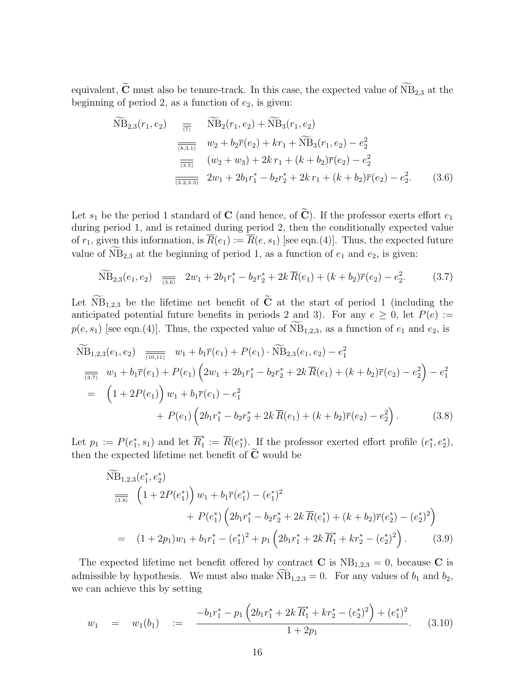equivalent,  $\widetilde{\mathbf{C}}$  must also be tenure-track. In this case, the expected value of  $\widetilde{\text{NB}}_{2,3}$  at the beginning of period 2, as a function of  $e_2$ , is given:

$$
\widetilde{\text{NB}}_{2,3}(r_1, e_2) = \overline{\widetilde{\tau_2}} \widetilde{\text{NB}}_2(r_1, e_2) + \widetilde{\text{NB}}_3(r_1, e_2)
$$
\n
$$
\overline{\overline{\tau_3}} \widetilde{w_2} + b_2 \overline{r}(e_2) + kr_1 + \widetilde{\text{NB}}_3(r_1, e_2) - e_2^2
$$
\n
$$
\overline{\overline{\tau_3}} \widetilde{w_2} + w_3 + 2kr_1 + (k + b_2)\overline{r}(e_2) - e_2^2
$$
\n
$$
\overline{\overline{\tau_3}} \widetilde{w_2} + w_3 + 2kr_1 + (k + b_2)\overline{r}(e_2) - e_2^2.
$$
\n
$$
(3.6)
$$

Let  $s_1$  be the period 1 standard of **C** (and hence, of  $\widetilde{\mathbf{C}}$ ). If the professor exerts effort  $e_1$ during period 1, and is retained during period 2, then the conditionally expected value of  $r_1$ , given this information, is  $\overline{R}(e_1) := \overline{R}(e, s_1)$  [see eqn.(4)]. Thus, the expected future value of  $NB_{2,3}$  at the beginning of period 1, as a function of  $e_1$  and  $e_2$ , is given:

$$
\widetilde{\text{NB}}_{2,3}(e_1, e_2) \quad \overline{\underset{(3.6)}{\implies}} \quad 2w_1 + 2b_1r_1^* - b_2r_2^* + 2k \,\overline{R}(e_1) + (k + b_2)\overline{r}(e_2) - e_2^2. \tag{3.7}
$$

Let  $\widetilde{N}B_{1,2,3}$  be the lifetime net benefit of  $\widetilde{C}$  at the start of period 1 (including the anticipated potential future benefits in periods 2 and 3). For any  $e \ge 0$ , let  $P(e) :=$  $p(e, s_1)$  [see eqn.(4)]. Thus, the expected value of  $NB_{1,2,3}$ , as a function of  $e_1$  and  $e_2$ , is

$$
\widetilde{\text{NB}}_{1,2,3}(e_1, e_2) \quad \overline{\underset{(10,11)}{\overline{\text{min}}}} \quad w_1 + b_1 \overline{r}(e_1) + P(e_1) \cdot \widetilde{\text{NB}}_{2,3}(e_1, e_2) - e_1^2
$$
\n
$$
\overline{\underset{(3.7)}{\overline{\text{max}}}} \quad w_1 + b_1 \overline{r}(e_1) + P(e_1) \left(2w_1 + 2b_1r_1^* - b_2r_2^* + 2k \, \overline{R}(e_1) + (k + b_2) \overline{r}(e_2) - e_2^2\right) - e_1^2
$$
\n
$$
= \quad \left(1 + 2P(e_1)\right) w_1 + b_1 \overline{r}(e_1) - e_1^2
$$
\n
$$
+ P(e_1) \left(2b_1r_1^* - b_2r_2^* + 2k \, \overline{R}(e_1) + (k + b_2) \overline{r}(e_2) - e_2^2\right). \tag{3.8}
$$

Let  $p_1 := P(e_1^*, s_1)$  and let  $\overline{R}_1^*$  $\overline{R}(e_1^*)$ . If the professor exerted effort profile  $(e_1^*, e_2^*),$ then the expected lifetime net benefit of  $\widetilde{C}$  would be

$$
\widetilde{\text{NB}}_{1,2,3}(e_1^*, e_2^*)
$$
\n
$$
\overline{\overline{(3.8)}} \left(1 + 2P(e_1^*)\right) w_1 + b_1 \overline{r}(e_1^*) - (e_1^*)^2
$$
\n
$$
+ P(e_1^*) \left(2b_1 r_1^* - b_2 r_2^* + 2k \overline{R}(e_1^*) + (k + b_2) \overline{r}(e_2^*) - (e_2^*)^2\right)
$$
\n
$$
= (1 + 2p_1) w_1 + b_1 r_1^* - (e_1^*)^2 + p_1 \left(2b_1 r_1^* + 2k \overline{R}_1^* + kr_2^* - (e_2^*)^2\right). \tag{3.9}
$$

The expected lifetime net benefit offered by contract C is  $NB_{1,2,3} = 0$ , because C is admissible by hypothesis. We must also make  $NB_{1,2,3} = 0$ . For any values of  $b_1$  and  $b_2$ , we can achieve this by setting

$$
w_1 = w_1(b_1) := \frac{-b_1r_1^* - p_1\left(2b_1r_1^* + 2k\overline{R}_1^* + kr_2^* - (e_2^*)^2\right) + (e_1^*)^2}{1 + 2p_1}.
$$
 (3.10)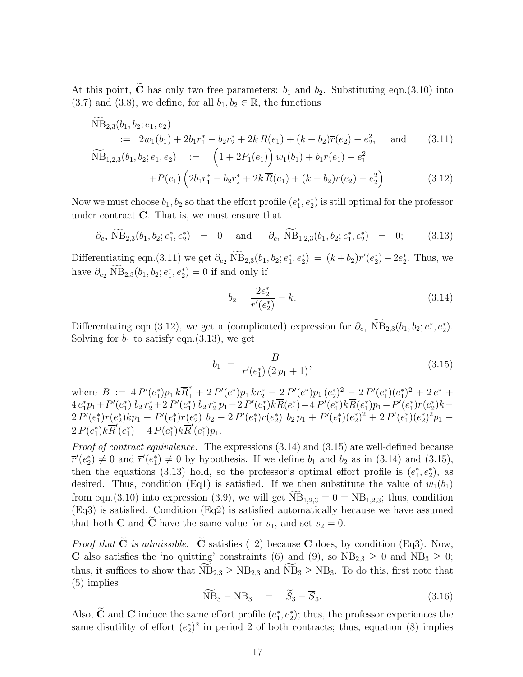At this point,  $\widetilde{\mathbf{C}}$  has only two free parameters:  $b_1$  and  $b_2$ . Substituting eqn.(3.10) into (3.7) and (3.8), we define, for all  $b_1, b_2 \in \mathbb{R}$ , the functions

$$
\widetilde{\text{NB}}_{2,3}(b_1, b_2; e_1, e_2)
$$
\n
$$
:= 2w_1(b_1) + 2b_1r_1^* - b_2r_2^* + 2k \overline{R}(e_1) + (k + b_2)\overline{r}(e_2) - e_2^2, \text{ and } (3.11)
$$
\n
$$
\widetilde{\text{NB}}_{1,2,3}(b_1, b_2; e_1, e_2) := \left(1 + 2P_1(e_1)\right)w_1(b_1) + b_1\overline{r}(e_1) - e_1^2 + P(e_1)\left(2b_1r_1^* - b_2r_2^* + 2k \overline{R}(e_1) + (k + b_2)\overline{r}(e_2) - e_2^2\right). \tag{3.12}
$$

Now we must choose  $b_1, b_2$  so that the effort profile  $(e_1^*, e_2^*)$  is still optimal for the professor under contract  $C$ . That is, we must ensure that

$$
\partial_{e_2} \widetilde{\text{NB}}_{2,3}(b_1, b_2; e_1^*, e_2^*) = 0 \quad \text{and} \quad \partial_{e_1} \widetilde{\text{NB}}_{1,2,3}(b_1, b_2; e_1^*, e_2^*) = 0; \quad (3.13)
$$

Differentiating eqn.(3.11) we get  $\partial_{e_2} NB_{2,3}(b_1, b_2; e_1^*, e_2^*) = (k + b_2)\overline{r}'(e_2^*) - 2e_2^*$ . Thus, we have  $\partial_{e_2} \text{ NB}_{2,3}(b_1, b_2; e_1^*, e_2^*) = 0$  if and only if

$$
b_2 = \frac{2e_2^*}{\overline{r}'(e_2^*)} - k.\tag{3.14}
$$

Differentating eqn.(3.12), we get a (complicated) expression for  $\partial_{e_1} \text{ NB}_{2,3}(b_1, b_2; e_1^*, e_2^*).$ Solving for  $b_1$  to satisfy eqn.(3.13), we get

$$
b_1 = \frac{B}{\overline{r}'(e_1^*) (2p_1 + 1)},\tag{3.15}
$$

where  $B := 4 P'(e_1^*) p_1 k \overline{R}_1^* + 2 P'(e_1^*) p_1 k r_2^* - 2 P'(e_1^*) p_1 (e_2^*)^2 - 2 P'(e_1^*) (e_1^*)^2 + 2 e_1^* +$  $1/P1 \kappa_1 t_1 + 2I$   $(e_1/P1 \kappa_1 t_2 - 2I$   $(e_1/P1 (e_2) - 2I (e_1/e_1))$  $4\,e_1^*p_1+P'(e_1^*)\,b_2\,r_2^*+2\,P'(e_1^*)\,b_2\,r_2^*\,p_1-2\,P'(e_1^*)k\overline{R}(e_1^*)-4\,P'(e_1^*)k\overline{R}(e_1^*)p_1-P'(e_1^*)r(e_2^*)k-2\,P'(e_1^*)\overline{R}(e_1^*)\overline{R}(e_1^*)$  $2 P'(e_1^*) r(e_2^*) k p_1 - P'(e_1^*) r(e_2^*) b_2 - 2 P'(e_1^*) r(e_2^*) b_2 p_1 + P'(e_1^*) (e_2^*)^2 + 2 P'(e_1^*) (e_2^*)^2 p_1 2 P(e_1^*) k \overline{R}'(e_1^*) - 4 P(e_1^*) k \overline{R}'(e_1^*) p_1.$ 

Proof of contract equivalence. The expressions  $(3.14)$  and  $(3.15)$  are well-defined because  $\overline{r}'(e_2^*) \neq 0$  and  $\overline{r}'(e_1^*) \neq 0$  by hypothesis. If we define  $b_1$  and  $b_2$  as in (3.14) and (3.15), then the equations (3.13) hold, so the professor's optimal effort profile is  $(e_1^*, e_2^*)$ , as desired. Thus, condition (Eq1) is satisfied. If we then substitute the value of  $w_1(b_1)$ from eqn.(3.10) into expression (3.9), we will get  $\widetilde{NB}_{1,2,3} = 0 = NB_{1,2,3}$ ; thus, condition (Eq3) is satisfied. Condition (Eq2) is satisfied automatically because we have assumed that both **C** and  $\tilde{C}$  have the same value for  $s_1$ , and set  $s_2 = 0$ .

*Proof that*  $\tilde{C}$  *is admissible.*  $\tilde{C}$  satisfies (12) because C does, by condition (Eq3). Now, C also satisfies the 'no quitting' constraints (6) and (9), so  $NB_{2,3} \geq 0$  and  $NB_3 \geq 0$ ; thus, it suffices to show that  $\widetilde{NB}_{2,3} \ge NB_{2,3}$  and  $\widetilde{NB}_3 \ge NB_3$ . To do this, first note that (5) implies

$$
\widetilde{\text{NB}}_3 - \text{NB}_3 = \widetilde{S}_3 - \overline{S}_3. \tag{3.16}
$$

Also,  $\tilde{C}$  and  $C$  induce the same effort profile  $(e_1^*, e_2^*)$ ; thus, the professor experiences the same disutility of effort  $(e_2^*)^2$  in period 2 of both contracts; thus, equation (8) implies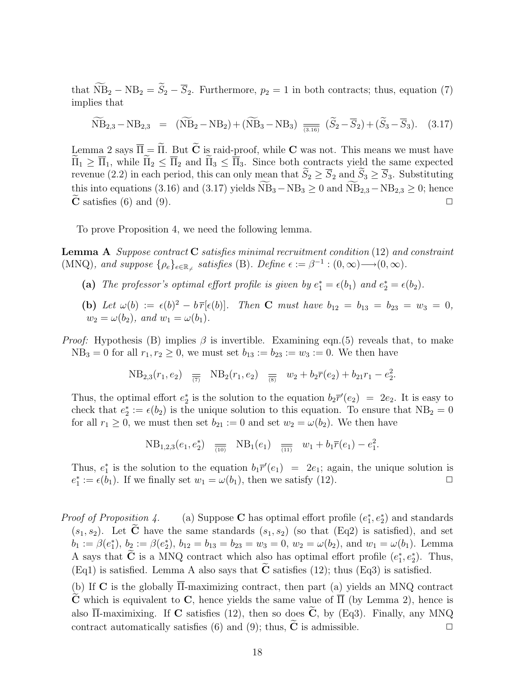that  $\widetilde{\text{NB}}_2 - \text{NB}_2 = \widetilde{S}_2 - \overline{S}_2$ . Furthermore,  $p_2 = 1$  in both contracts; thus, equation (7) implies that

$$
\widetilde{\text{NB}}_{2,3} - \text{NB}_{2,3} = (\widetilde{\text{NB}}_2 - \text{NB}_2) + (\widetilde{\text{NB}}_3 - \text{NB}_3) \underset{\overline{(3.16)}}{=} (\widetilde{S}_2 - \overline{S}_2) + (\widetilde{S}_3 - \overline{S}_3). \tag{3.17}
$$

Lemma 2 says  $\overline{\Pi} = \widetilde{\Pi}$ . But  $\widetilde{\mathbf{C}}$  is raid-proof, while **C** was not. This means we must have  $\widetilde{\Pi}_1 \geq \overline{\Pi}_1$ , while  $\widetilde{\Pi}_2 \leq \overline{\Pi}_2$  and  $\widetilde{\Pi}_3 \leq \overline{\Pi}_3$ . Since both contracts yield the same expected revenue (2.2) in each period, this can only mean that  $\tilde{S}_2 \geq \overline{S}_2$  and  $\tilde{S}_3 \geq \overline{S}_3$ . Substituting this into equations (3.16) and (3.17) yields  $NB_3 - NB_3 \ge 0$  and  $NB_{2,3} - NB_{2,3} \ge 0$ ; hence  $\tilde{C}$  satisfies (6) and (9).  $\bf{C}$  satisfies (6) and (9).

To prove Proposition 4, we need the following lemma.

**Lemma A** Suppose contract **C** satisfies minimal recruitment condition  $(12)$  and constraint (MNQ), and suppose  $\{\rho_e\}_{e \in \mathbb{R}_+}$  satisfies (B). Define  $\epsilon := \beta^{-1} : (0, \infty) \longrightarrow (0, \infty)$ .

- (a) The professor's optimal effort profile is given by  $e_1^* = \epsilon(b_1)$  and  $e_2^* = \epsilon(b_2)$ .
- (b) Let  $\omega(b) := \epsilon(b)^2 b \bar{r}[\epsilon(b)]$ . Then **C** must have  $b_{12} = b_{13} = b_{23} = w_3 = 0$ ,  $w_2 = \omega(b_2)$ , and  $w_1 = \omega(b_1)$ .
- *Proof:* Hypothesis (B) implies  $\beta$  is invertible. Examining eqn.(5) reveals that, to make  $NB_3 = 0$  for all  $r_1, r_2 \ge 0$ , we must set  $b_{13} := b_{23} := w_3 := 0$ . We then have

NB<sub>2,3</sub>
$$
(r_1, e_2)
$$
  $\equiv$  NB<sub>2</sub> $(r_1, e_2)$   $\equiv$  w<sub>2</sub> + b<sub>2</sub> $\bar{r}(e_2)$  + b<sub>21</sub> $r_1 - e_2^2$ .

Thus, the optimal effort  $e_2^*$  is the solution to the equation  $b_2 \overline{r}'(e_2) = 2e_2$ . It is easy to check that  $e_2^* := \epsilon(b_2)$  is the unique solution to this equation. To ensure that  $NB_2 = 0$ for all  $r_1 \geq 0$ , we must then set  $b_{21} := 0$  and set  $w_2 = \omega(b_2)$ . We then have

NB<sub>1,2,3</sub>
$$
(e_1, e_2^*)
$$
  $\overline{\phantom{a}}_{\overline{(10)}}$  NB<sub>1</sub> $(e_1)$   $\overline{\phantom{a}}_{\overline{(11)}}$   $w_1 + b_1 \overline{r}(e_1) - e_1^2$ .

Thus,  $e_1^*$  is the solution to the equation  $b_1 \overline{r}'(e_1) = 2e_1$ ; again, the unique solution is  $e_1^* := \epsilon(b_1)$ . If we finally set  $w_1 = \omega(b_1)$ , then we satisfy (12).

*Proof of Proposition 4.* (a) Suppose **C** has optimal effort profile  $(e_1^*, e_2^*)$  and standards  $(s_1, s_2)$ . Let  $\tilde{\mathbf{C}}$  have the same standards  $(s_1, s_2)$  (so that  $(\text{Eq2})$  is satisfied), and set  $b_1 := \beta(e_1^*), b_2 := \beta(e_2^*), b_{12} = b_{13} = b_{23} = w_3 = 0, w_2 = \omega(b_2), \text{ and } w_1 = \omega(b_1).$  Lemma A says that  $\tilde{C}$  is a MNQ contract which also has optimal effort profile  $(e_1^*, e_2^*)$ . Thus, (Eq1) is satisfied. Lemma A also says that  $\tilde{\mathbf{C}}$  satisfies (12); thus (Eq3) is satisfied.

(b) If C is the globally  $\overline{\Pi}$ -maximizing contract, then part (a) yields an MNQ contract C which is equivalent to C, hence yields the same value of  $\overline{\Pi}$  (by Lemma 2), hence is also  $\overline{\Pi}$ -maximixing. If C satisfies (12), then so does  $\widetilde{C}$ , by (Eq3). Finally, any MNQ contract automatically satisfies (6) and (9); thus,  $\widetilde{C}$  is admissible.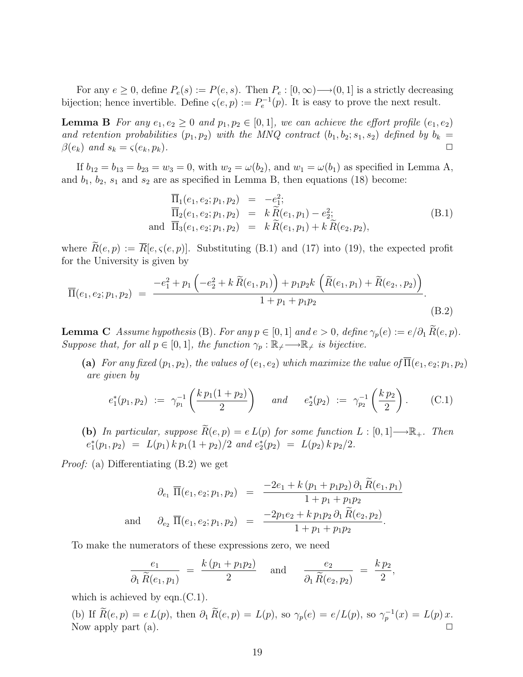For any  $e \geq 0$ , define  $P_e(s) := P(e, s)$ . Then  $P_e : [0, \infty) \longrightarrow (0, 1]$  is a strictly decreasing bijection; hence invertible. Define  $\varsigma(e, p) := P_e^{-1}(p)$ . It is easy to prove the next result.

**Lemma B** For any  $e_1, e_2 \geq 0$  and  $p_1, p_2 \in [0, 1]$ , we can achieve the effort profile  $(e_1, e_2)$ and retention probabilities  $(p_1, p_2)$  with the MNQ contract  $(b_1, b_2; s_1, s_2)$  defined by  $b_k =$  $\beta(e_k)$  and  $s_k = \varsigma(e_k, p_k)$ .

If  $b_{12} = b_{13} = b_{23} = w_3 = 0$ , with  $w_2 = \omega(b_2)$ , and  $w_1 = \omega(b_1)$  as specified in Lemma A, and  $b_1$ ,  $b_2$ ,  $s_1$  and  $s_2$  are as specified in Lemma B, then equations (18) become:

$$
\overline{\Pi}_{1}(e_{1}, e_{2}; p_{1}, p_{2}) = -e_{1}^{2}; \n\overline{\Pi}_{2}(e_{1}, e_{2}; p_{1}, p_{2}) = k \widetilde{R}(e_{1}, p_{1}) - e_{2}^{2}; \n\text{and } \overline{\Pi}_{3}(e_{1}, e_{2}; p_{1}, p_{2}) = k \widetilde{R}(e_{1}, p_{1}) + k \widetilde{R}(e_{2}, p_{2}),
$$
\n(B.1)

where  $\widetilde{R}(e, p) := \overline{R}[e, \varsigma(e, p)]$ . Substituting (B.1) and (17) into (19), the expected profit for the University is given by

$$
\overline{\Pi}(e_1, e_2; p_1, p_2) = \frac{-e_1^2 + p_1 \left(-e_2^2 + k \widetilde{R}(e_1, p_1)\right) + p_1 p_2 k \left(\widetilde{R}(e_1, p_1) + \widetilde{R}(e_2, p_2)\right)}{1 + p_1 + p_1 p_2}.
$$
\n(B.2)

**Lemma C** Assume hypothesis (B). For any  $p \in [0, 1]$  and  $e > 0$ , define  $\gamma_p(e) := e/\partial_1 \widetilde{R}(e, p)$ . Suppose that, for all  $p \in [0,1]$ , the function  $\gamma_p : \mathbb{R}_+ \longrightarrow \mathbb{R}_+$  is bijective.

(a) For any fixed  $(p_1, p_2)$ , the values of  $(e_1, e_2)$  which maximize the value of  $\overline{\Pi}(e_1, e_2; p_1, p_2)$ are given by

$$
e_1^*(p_1, p_2) := \gamma_{p_1}^{-1}\left(\frac{k\,p_1(1+p_2)}{2}\right) \quad \text{and} \quad e_2^*(p_2) := \gamma_{p_2}^{-1}\left(\frac{k\,p_2}{2}\right). \tag{C.1}
$$

(b) In particular, suppose  $\widetilde{R}(e, p) = e L(p)$  for some function  $L : [0, 1] \longrightarrow \mathbb{R}_+$ . Then  $e_1^*(p_1, p_2) = L(p_1) k p_1 (1 + p_2) / 2$  and  $e_2^*(p_2) = L(p_2) k p_2 / 2$ .

Proof: (a) Differentiating (B.2) we get

$$
\partial_{e_1} \ \overline{\Pi}(e_1, e_2; p_1, p_2) = \frac{-2e_1 + k (p_1 + p_1 p_2) \partial_1 R(e_1, p_1)}{1 + p_1 + p_1 p_2}
$$
  
and 
$$
\partial_{e_2} \ \overline{\Pi}(e_1, e_2; p_1, p_2) = \frac{-2p_1 e_2 + k p_1 p_2 \partial_1 R(e_2, p_2)}{1 + p_1 + p_1 p_2}.
$$

To make the numerators of these expressions zero, we need

$$
\frac{e_1}{\partial_1 \widetilde{R}(e_1, p_1)} = \frac{k (p_1 + p_1 p_2)}{2} \quad \text{and} \quad \frac{e_2}{\partial_1 \widetilde{R}(e_2, p_2)} = \frac{k p_2}{2},
$$

which is achieved by eqn. $(C.1)$ .

(b) If  $R(e, p) = e L(p)$ , then  $\partial_1 R(e, p) = L(p)$ , so  $\gamma_p(e) = e/L(p)$ , so  $\gamma_p^{-1}(x) = L(p)x$ . Now apply part (a).  $\Box$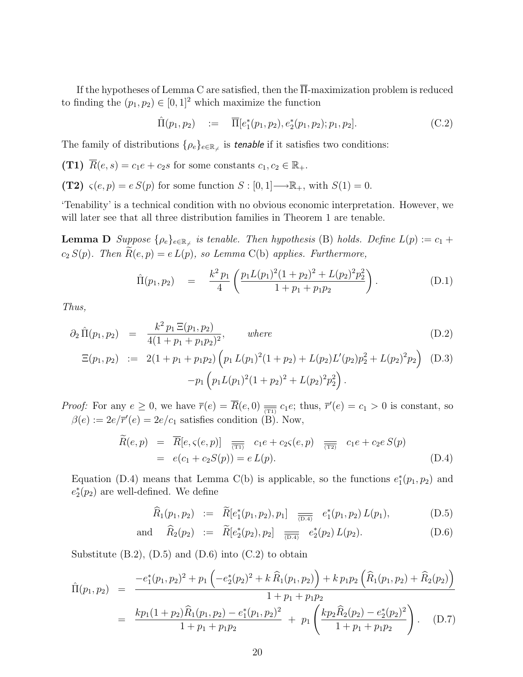If the hypotheses of Lemma C are satisfied, then the  $\overline{\Pi}$ -maximization problem is reduced to finding the  $(p_1, p_2) \in [0, 1]^2$  which maximize the function

$$
\hat{\Pi}(p_1, p_2) := \overline{\Pi}[e_1^*(p_1, p_2), e_2^*(p_1, p_2); p_1, p_2].
$$
\n(C.2)

The family of distributions  $\{\rho_e\}_{e \in \mathbb{R}_{\neq}}$  is *tenable* if it satisfies two conditions:

(T1) 
$$
\overline{R}(e, s) = c_1 e + c_2 s
$$
 for some constants  $c_1, c_2 \in \mathbb{R}_+$ .

(T2)  $\varsigma(e, p) = e S(p)$  for some function  $S : [0, 1] \longrightarrow \mathbb{R}_+$ , with  $S(1) = 0$ .

'Tenability' is a technical condition with no obvious economic interpretation. However, we will later see that all three distribution families in Theorem 1 are tenable.

**Lemma D** Suppose  $\{\rho_e\}_{e \in \mathbb{R}_+}$  is tenable. Then hypothesis (B) holds. Define  $L(p) := c_1 +$  $c_2 S(p)$ . Then  $\widetilde{R}(e, p) = e L(p)$ , so Lemma C(b) applies. Furthermore,

$$
\hat{\Pi}(p_1, p_2) = \frac{k^2 p_1}{4} \left( \frac{p_1 L (p_1)^2 (1 + p_2)^2 + L (p_2)^2 p_2^2}{1 + p_1 + p_1 p_2} \right).
$$
\n(D.1)

Thus,

$$
\partial_2 \hat{\Pi}(p_1, p_2) = \frac{k^2 p_1 \Xi(p_1, p_2)}{4(1 + p_1 + p_1 p_2)^2}, \quad where \quad (D.2)
$$
\n
$$
\Xi(p_1, p_2) := 2(1 + p_1 + p_1 p_2) \left( p_1 L(p_1)^2 (1 + p_2) + L(p_2) L'(p_2) p_2^2 + L(p_2)^2 p_2 \right) \quad (D.3)
$$

$$
\Xi(p_1, p_2) := 2(1 + p_1 + p_1 p_2) \left( p_1 L(p_1)^2 (1 + p_2) + L(p_2) L'(p_2) p_2^2 + L(p_2)^2 p_2 \right) \quad (D.3)
$$

$$
-p_1 \left( p_1 L(p_1)^2 (1 + p_2)^2 + L(p_2)^2 p_2^2 \right).
$$

*Proof:* For any  $e \ge 0$ , we have  $\overline{r}(e) = \overline{R}(e, 0) \equiv \overline{r}(e, 0) \equiv c_1 e$ ; thus,  $\overline{r}'(e) = c_1 > 0$  is constant, so  $\beta(e) := 2e/\overline{r}'(e) = 2e/c_1$  satisfies condition (B). Now,

$$
\widetilde{R}(e,p) = \overline{R}[e,\varsigma(e,p)] \underset{(T1)}{\overline{(\tau_1)}} c_1 e + c_2 \varsigma(e,p) \overline{\overline{(\tau_2)}} c_1 e + c_2 e S(p) \n= e(c_1 + c_2 S(p)) = e L(p).
$$
\n(D.4)

Equation (D.4) means that Lemma C(b) is applicable, so the functions  $e_1^*(p_1, p_2)$  and  $e_2^*(p_2)$  are well-defined. We define

$$
\widehat{R}_1(p_1, p_2) \quad := \quad \widetilde{R}[e_1^*(p_1, p_2), p_1] \quad \overline{\underset{(D.4)}{\frown} \quad e_1^*(p_1, p_2) \, L(p_1)}, \tag{D.5}
$$

and 
$$
\widehat{R}_2(p_2) := \widetilde{R}[e_2^*(p_2), p_2] \underset{(\text{D.4})}{\longrightarrow} e_2^*(p_2) L(p_2).
$$
 (D.6)

Substitute  $(B.2)$ ,  $(D.5)$  and  $(D.6)$  into  $(C.2)$  to obtain

$$
\hat{\Pi}(p_1, p_2) = \frac{-e_1^*(p_1, p_2)^2 + p_1 \left(-e_2^*(p_2)^2 + k \widehat{R}_1(p_1, p_2)\right) + k p_1 p_2 \left(\widehat{R}_1(p_1, p_2) + \widehat{R}_2(p_2)\right)}{1 + p_1 + p_1 p_2}
$$
\n
$$
= \frac{k p_1 (1 + p_2) \widehat{R}_1(p_1, p_2) - e_1^*(p_1, p_2)^2}{1 + p_1 + p_1 p_2} + p_1 \left(\frac{k p_2 \widehat{R}_2(p_2) - e_2^*(p_2)^2}{1 + p_1 + p_1 p_2}\right). \quad (D.7)
$$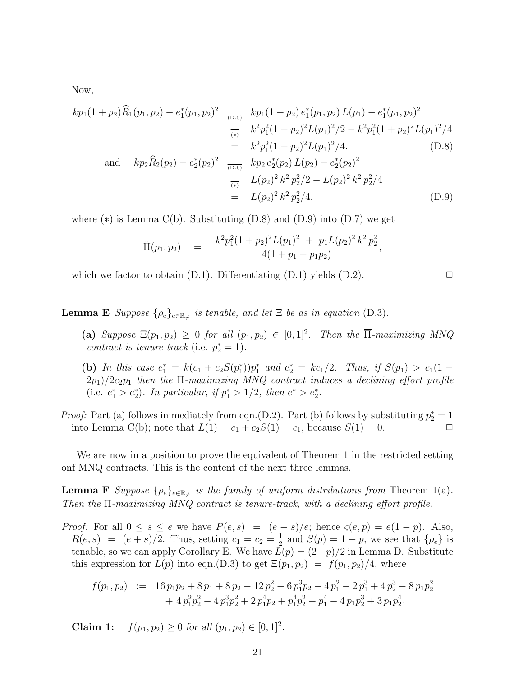Now,

$$
kp_1(1+p_2)\widehat{R}_1(p_1, p_2) - e_1^*(p_1, p_2)^2 \xrightarrow[\overline{\mu}, \overline{\mu}]} \quad kp_1(1+p_2) e_1^*(p_1, p_2) L(p_1) - e_1^*(p_1, p_2)^2
$$
  
\n
$$
\xrightarrow[\overline{\mu}, \overline{\mu}]} k^2 p_1^2 (1+p_2)^2 L(p_1)^2 / 2 - k^2 p_1^2 (1+p_2)^2 L(p_1)^2 / 4
$$
  
\n
$$
= k^2 p_1^2 (1+p_2)^2 L(p_1)^2 / 4. \qquad (D.8)
$$
  
\nand 
$$
kp_2 \widehat{R}_2(p_2) - e_2^*(p_2)^2 \xrightarrow[\overline{\mu}, \overline{\mu}]} \quad kp_2 e_2^*(p_2) L(p_2) - e_2^*(p_2)^2
$$
  
\n
$$
\xrightarrow[\overline{\mu}, \overline{\mu}]} L(p_2)^2 k^2 p_2^2 / 2 - L(p_2)^2 k^2 p_2^2 / 4
$$
  
\n
$$
= L(p_2)^2 k^2 p_2^2 / 4. \qquad (D.9)
$$

where  $(*)$  is Lemma C(b). Substituting  $(D.8)$  and  $(D.9)$  into  $(D.7)$  we get

$$
\hat{\Pi}(p_1, p_2) = \frac{k^2 p_1^2 (1 + p_2)^2 L(p_1)^2 + p_1 L(p_2)^2 k^2 p_2^2}{4(1 + p_1 + p_1 p_2)},
$$

which we factor to obtain  $(D.1)$ . Differentiating  $(D.1)$  yields  $(D.2)$ .

**Lemma E** Suppose  $\{\rho_e\}_{e \in \mathbb{R}_+}$  is tenable, and let  $\Xi$  be as in equation (D.3).

(a) Suppose  $\Xi(p_1, p_2) \geq 0$  for all  $(p_1, p_2) \in [0, 1]^2$ . Then the  $\overline{\Pi}$ -maximizing MNQ contract is tenure-track (i.e.  $p_2^* = 1$ ).

(b) In this case  $e_1^* = k(c_1 + c_2S(p_1^*))p_1^*$  and  $e_2^* = kc_1/2$ . Thus, if  $S(p_1) > c_1(1 (2p_1)/2c_2p_1$  then the  $\overline{\Pi}$ -maximizing MNQ contract induces a declining effort profile (i.e.  $e_1^* > e_2^*$ ). In particular, if  $p_1^* > 1/2$ , then  $e_1^* > e_2^*$ .

*Proof:* Part (a) follows immediately from eqn.(D.2). Part (b) follows by substituting  $p_2^* = 1$ into Lemma C(b); note that  $L(1) = c_1 + c_2S(1) = c_1$ , because  $S(1) = 0$ .

We are now in a position to prove the equivalent of Theorem 1 in the restricted setting onf MNQ contracts. This is the content of the next three lemmas.

**Lemma F** Suppose  $\{\rho_e\}_{e \in \mathbb{R}_+}$  is the family of uniform distributions from Theorem 1(a). Then the  $\overline{\Pi}$ -maximizing MNQ contract is tenure-track, with a declining effort profile.

*Proof:* For all  $0 \le s \le e$  we have  $P(e, s) = (e - s)/e$ ; hence  $\varsigma(e, p) = e(1 - p)$ . Also,  $\overline{R}(e, s) = (e + s)/2$ . Thus, setting  $c_1 = c_2 = \frac{1}{2}$  $\frac{1}{2}$  and  $S(p) = 1 - p$ , we see that  $\{\rho_e\}$  is tenable, so we can apply Corollary E. We have  $L(p) = (2-p)/2$  in Lemma D. Substitute this expression for  $L(p)$  into eqn.(D.3) to get  $\Xi(p_1, p_2) = f(p_1, p_2)/4$ , where

$$
f(p_1, p_2) := 16 p_1 p_2 + 8 p_1 + 8 p_2 - 12 p_2^2 - 6 p_1^3 p_2 - 4 p_1^2 - 2 p_1^3 + 4 p_2^3 - 8 p_1 p_2^2
$$
  
+ 
$$
4 p_1^2 p_2^2 - 4 p_1^3 p_2^2 + 2 p_1^4 p_2 + p_1^4 p_2^2 + p_1^4 - 4 p_1 p_2^3 + 3 p_1 p_2^4.
$$

**Claim 1:**  $f(p_1, p_2) \ge 0$  for all  $(p_1, p_2) \in [0, 1]^2$ .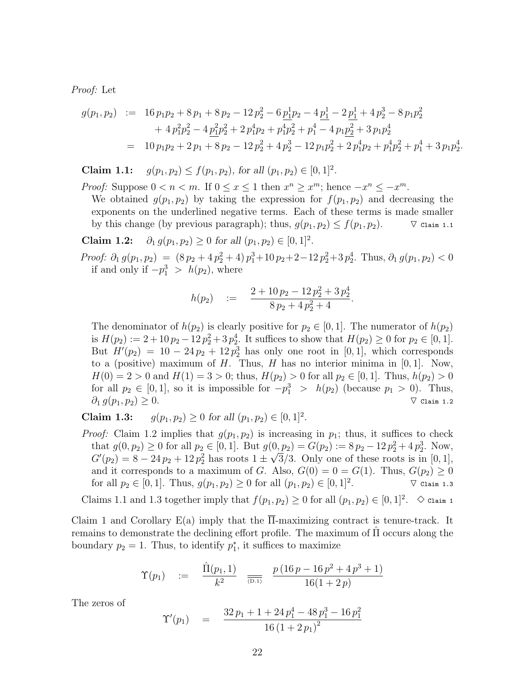Proof: Let

$$
g(p_1, p_2) := 16 p_1 p_2 + 8 p_1 + 8 p_2 - 12 p_2^2 - 6 \underline{p_1^1 p_2} - 4 \underline{p_1^1} - 2 \underline{p_1^1} + 4 p_2^3 - 8 p_1 p_2^2
$$
  
+ 
$$
4 p_1^2 p_2^2 - 4 \underline{p_1^2 p_2^2} + 2 p_1^4 p_2 + p_1^4 p_2^2 + p_1^4 - 4 p_1 \underline{p_2^2} + 3 p_1 p_2^4
$$
  
= 
$$
10 p_1 p_2 + 2 p_1 + 8 p_2 - 12 p_2^2 + 4 p_2^3 - 12 p_1 p_2^2 + 2 p_1^4 p_2 + p_1^4 p_2^2 + p_1^4 + 3 p_1 p_2^4.
$$

**Claim 1.1:**  $g(p_1, p_2) \le f(p_1, p_2)$ , for all  $(p_1, p_2) \in [0, 1]^2$ .

*Proof:* Suppose  $0 < n < m$ . If  $0 \le x \le 1$  then  $x^n \ge x^m$ ; hence  $-x^n \le -x^m$ . We obtained  $g(p_1, p_2)$  by taking the expression for  $f(p_1, p_2)$  and decreasing the

exponents on the underlined negative terms. Each of these terms is made smaller by this change (by previous paragraph); thus,  $g(p_1, p_2) \le f(p_1, p_2)$ .  $\qquad \nabla$  Claim 1.1

Claim 1.2:  $\partial_1 g(p_1, p_2) \ge 0$  for all  $(p_1, p_2) \in [0, 1]^2$ .

*Proof:*  $\partial_1 g(p_1, p_2) = (8p_2 + 4p_2^2 + 4) p_1^3 + 10 p_2 + 2 - 12 p_2^2 + 3 p_2^4$ . Thus,  $\partial_1 g(p_1, p_2) < 0$ if and only if  $-p_1^3 > h(p_2)$ , where

$$
h(p_2) \quad := \quad \frac{2 + 10 \, p_2 - 12 \, p_2^2 + 3 \, p_2^4}{8 \, p_2 + 4 \, p_2^2 + 4}.
$$

The denominator of  $h(p_2)$  is clearly positive for  $p_2 \in [0,1]$ . The numerator of  $h(p_2)$ is  $H(p_2) := 2 + 10p_2 - 12p_2^2 + 3p_2^4$ . It suffices to show that  $H(p_2) \ge 0$  for  $p_2 \in [0, 1]$ . But  $H'(p_2) = 10 - 24p_2 + 12p_2^3$  has only one root in [0, 1], which corresponds to a (positive) maximum of H. Thus, H has no interior minima in  $[0, 1]$ . Now,  $H(0) = 2 > 0$  and  $H(1) = 3 > 0$ ; thus,  $H(p_2) > 0$  for all  $p_2 \in [0, 1]$ . Thus,  $h(p_2) > 0$ for all  $p_2 \in [0,1]$ , so it is impossible for  $-p_1^3 > h(p_2)$  (because  $p_1 > 0$ ). Thus,  $\partial_1 g(p_1, p_2) \geq 0.$   $\qquad \qquad \nabla$  Claim 1.2

**Claim 1.3:**  $g(p_1, p_2) \ge 0$  for all  $(p_1, p_2) \in [0, 1]^2$ .

*Proof:* Claim 1.2 implies that  $g(p_1, p_2)$  is increasing in  $p_1$ ; thus, it suffices to check that  $g(0, p_2) \ge 0$  for all  $p_2 \in [0, 1]$ . But  $g(0, p_2) = G(p_2) := 8p_2 - 12p_2^2 + 4p_2^3$ . Now,  $G'(p_2) = 8 - 24p_2 + 12p_2^2$  has roots  $1 \pm \sqrt{3}/3$ . Only one of these roots is in [0, 1], and it corresponds to a maximum of G. Also,  $G(0) = 0 = G(1)$ . Thus,  $G(p_2) \ge 0$ for all  $p_2 \in [0, 1]$ . Thus,  $g(p_1, p_2) \ge 0$  for all  $(p_1, p_2) \in [0, 1]^2$ .  $\nabla$  Claim 1.3

Claims 1.1 and 1.3 together imply that  $f(p_1, p_2) \ge 0$  for all  $(p_1, p_2) \in [0, 1]^2$ .  $\diamond$  claim 1

Claim 1 and Corollary E(a) imply that the Π-maximizing contract is tenure-track. It remains to demonstrate the declining effort profile. The maximum of  $\Pi$  occurs along the boundary  $p_2 = 1$ . Thus, to identify  $p_1^*$ , it suffices to maximize

$$
\Upsilon(p_1) \quad := \quad \frac{\hat{\Pi}(p_1, 1)}{k^2} \quad \frac{p(16p - 16p^2 + 4p^3 + 1)}{16(1 + 2p)}
$$

The zeros of

$$
\Upsilon'(p_1) = \frac{32 p_1 + 1 + 24 p_1^4 - 48 p_1^3 - 16 p_1^2}{16 (1 + 2 p_1)^2}
$$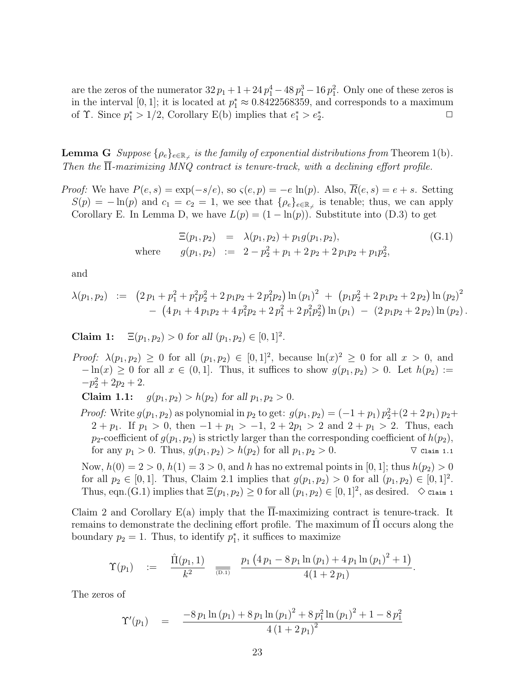are the zeros of the numerator  $32 p_1 + 1 + 24 p_1^4 - 48 p_1^3 - 16 p_1^2$ . Only one of these zeros is in the interval [0, 1]; it is located at  $p_1^* \approx 0.8422568359$ , and corresponds to a maximum of  $\Upsilon$ . Since  $p_1^* > 1/2$ , Corollary E(b) implies that  $e_1^* > e_2^*$ .  $\Box$ 

**Lemma G**  $Suppose \{\rho_e\}_{e \in \mathbb{R}_+}$  is the family of exponential distributions from Theorem 1(b). Then the  $\overline{\Pi}$ -maximizing MNQ contract is tenure-track, with a declining effort profile.

*Proof:* We have  $P(e, s) = \exp(-s/e)$ , so  $\varsigma(e, p) = -e \ln(p)$ . Also,  $\overline{R}(e, s) = e + s$ . Setting  $S(p) = -\ln(p)$  and  $c_1 = c_2 = 1$ , we see that  $\{\rho_e\}_{e \in \mathbb{R}_+}$  is tenable; thus, we can apply Corollary E. In Lemma D, we have  $L(p) = (1 - \ln(p))$ . Substitute into (D.3) to get

$$
\Xi(p_1, p_2) = \lambda(p_1, p_2) + p_1 g(p_1, p_2),
$$
  
where  $g(p_1, p_2) := 2 - p_2^2 + p_1 + 2 p_2 + 2 p_1 p_2 + p_1 p_2^2,$  (G.1)

and

$$
\lambda(p_1, p_2) := (2 p_1 + p_1^2 + p_1^2 p_2^2 + 2 p_1 p_2 + 2 p_1^2 p_2) \ln (p_1)^2 + (p_1 p_2^2 + 2 p_1 p_2 + 2 p_2) \ln (p_2)^2 - (4 p_1 + 4 p_1 p_2 + 4 p_1^2 p_2 + 2 p_1^2 + 2 p_1^2 p_2^2) \ln (p_1) - (2 p_1 p_2 + 2 p_2) \ln (p_2).
$$

Claim 1:  $\Xi(p_1, p_2) > 0$  for all  $(p_1, p_2) \in [0, 1]^2$ .

*Proof:*  $\lambda(p_1, p_2) \geq 0$  for all  $(p_1, p_2) \in [0, 1]^2$ , because  $\ln(x)^2 \geq 0$  for all  $x > 0$ , and  $-\ln(x) \geq 0$  for all  $x \in (0,1]$ . Thus, it suffices to show  $g(p_1, p_2) > 0$ . Let  $h(p_2) :=$  $-p_2^2 + 2p_2 + 2.$ 

Claim 1.1:  $g(p_1, p_2) > h(p_2)$  for all  $p_1, p_2 > 0$ .

*Proof:* Write  $g(p_1, p_2)$  as polynomial in  $p_2$  to get:  $g(p_1, p_2) = (-1 + p_1) p_2^2 + (2 + 2 p_1) p_2 +$  $2 + p_1$ . If  $p_1 > 0$ , then  $-1 + p_1 > -1$ ,  $2 + 2p_1 > 2$  and  $2 + p_1 > 2$ . Thus, each  $p_2$ -coefficient of  $g(p_1, p_2)$  is strictly larger than the corresponding coefficient of  $h(p_2)$ , for any  $p_1 > 0$ . Thus,  $g(p_1, p_2) > h(p_2)$  for all  $p_1, p_2 > 0$ .  $\qquad \qquad \nabla$  Claim 1.1

Now,  $h(0) = 2 > 0$ ,  $h(1) = 3 > 0$ , and h has no extremal points in [0, 1]; thus  $h(p_2) > 0$ for all  $p_2 \in [0, 1]$ . Thus, Claim 2.1 implies that  $g(p_1, p_2) > 0$  for all  $(p_1, p_2) \in [0, 1]^2$ . Thus, eqn.(G.1) implies that  $\Xi(p_1, p_2) \ge 0$  for all  $(p_1, p_2) \in [0, 1]^2$ , as desired.  $\Diamond$  claim 1

Claim 2 and Corollary E(a) imply that the  $\overline{\Pi}$ -maximizing contract is tenure-track. It remains to demonstrate the declining effort profile. The maximum of  $\Pi$  occurs along the boundary  $p_2 = 1$ . Thus, to identify  $p_1^*$ , it suffices to maximize

$$
\Upsilon(p_1) \quad := \quad \frac{\hat{\Pi}(p_1, 1)}{k^2} \quad \frac{p_1\left(4\,p_1 - 8\,p_1\ln\left(p_1\right) + 4\,p_1\ln\left(p_1\right)^2 + 1\right)}{4(1 + 2\,p_1)}.
$$

The zeros of

$$
\Upsilon'(p_1) = \frac{-8 p_1 \ln (p_1) + 8 p_1 \ln (p_1)^2 + 8 p_1^2 \ln (p_1)^2 + 1 - 8 p_1^2}{4 (1 + 2 p_1)^2}
$$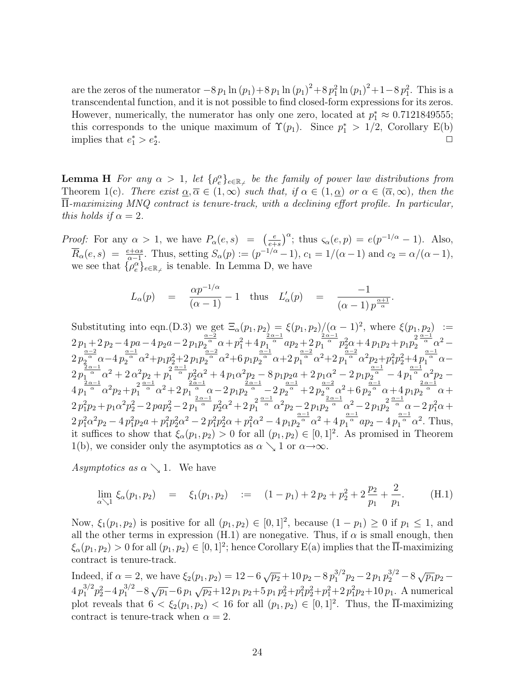are the zeros of the numerator  $-8 p_1 \ln (p_1) + 8 p_1 \ln (p_1)^2 + 8 p_1^2 \ln (p_1)^2 + 1 - 8 p_1^2$ . This is a transcendental function, and it is not possible to find closed-form expressions for its zeros. However, numerically, the numerator has only one zero, located at  $p_1^* \approx 0.7121849555$ ; this corresponds to the unique maximum of  $\Upsilon(p_1)$ . Since  $p_1^* > 1/2$ , Corollary E(b) implies that  $e_1^* > e_2^*$ . ✷

**Lemma H** For any  $\alpha > 1$ , let  $\{\rho_e^{\alpha}\}_{e \in \mathbb{R}_+}$  be the family of power law distributions from Theorem 1(c). There exist  $\alpha, \overline{\alpha} \in (1,\infty)$  such that, if  $\alpha \in (1,\underline{\alpha})$  or  $\alpha \in (\overline{\alpha},\infty)$ , then the Π-maximizing MNQ contract is tenure-track, with a declining effort profile. In particular, this holds if  $\alpha = 2$ .

*Proof:* For any  $\alpha > 1$ , we have  $P_{\alpha}(e, s) = \begin{pmatrix} \frac{e}{e^{s}} & \frac{e}{e^{s}} & \frac{e}{e^{s}} & \frac{e}{e^{s}} & \frac{e}{e^{s}} \end{pmatrix}$  $\frac{e}{e+s}$   $\int_{-\infty}^{\infty}$ ; thus  $\varsigma_{\alpha}(e,p) = e(p^{-1/\alpha} - 1)$ . Also,  $\overline{R}_{\alpha}(e, s) = \frac{e + \alpha s}{\alpha - 1}$ . Thus, setting  $S_{\alpha}(p) := (p^{-1/\alpha} - 1)$ ,  $c_1 = 1/(\alpha - 1)$  and  $c_2 = \alpha/(\alpha - 1)$ , we see that  $\{\rho_e^{\alpha}\}_{e \in \mathbb{R}_{\neq}}$  is tenable. In Lemma D, we have

$$
L_{\alpha}(p) = \frac{\alpha p^{-1/\alpha}}{(\alpha - 1)} - 1 \quad \text{thus} \quad L'_{\alpha}(p) = \frac{-1}{(\alpha - 1) p^{\frac{\alpha + 1}{\alpha}}}
$$

.

Substituting into eqn.(D.3) we get  $\Xi_{\alpha}(p_1, p_2) = \xi(p_1, p_2)/(\alpha - 1)^2$ , where  $\xi(p_1, p_2) :=$  $2p_1+2p_2-4p_0-4p_2a-2p_1p_2^{\frac{\alpha-2}{\alpha}}\alpha+p_1^2+4p_1^{\frac{2\alpha-1}{\alpha}}ap_2+2p_1^{\frac{2\alpha-1}{\alpha}}p_2^2\alpha+4p_1p_2+p_1p_2^2\frac{\alpha-1}{\alpha}\alpha^2 2\,p_{2\alpha}^{\frac{\alpha-2}{\alpha}}\alpha-4\,p_{2}^{\frac{\alpha-1}{\alpha}}\alpha^{2}+p_{1}p_{2}^{2}+2\,p_{1}p_{2}^{\frac{\alpha-2}{\alpha}}\alpha^{2}+6\,p_{1}p_{2}^{\frac{\alpha-1}{\alpha}}\alpha+2\,p_{1}^{\frac{\alpha-2}{\alpha}}\alpha^{2}+2\,p_{1}^{\frac{\alpha-2}{\alpha}}\alpha^{2}p_{2}+p_{1}^{2}p_{2}^{2}+4\,p_{1}^{\frac{\alpha-1}{\alpha}}\alpha 2\,p_{1\,\alpha}^{\frac{2\,\alpha-1}{\alpha}}\alpha^2 + 2\,\alpha^2 p_2 + p_1^2^{\frac{\alpha-1}{\alpha}}p_2^2\alpha^2 + 4\,p_1\alpha^2 p_2 - 8\,p_1p_2a + 2\,p_1\alpha^2 - 2\,p_1p_2^{\frac{\alpha-1}{\alpha}} - 4\,p_1^{\frac{\alpha-1}{\alpha}}\alpha^2 p_2 4\,p_1^{\frac{2\,\alpha-1}{\alpha}}\alpha^2p_2+p_1^{2\frac{\alpha-1}{\alpha}}\alpha^2+2\,p_1^{\frac{2\,\alpha-1}{\alpha}}\alpha-2\,p_1p_2^{\frac{2\,\alpha-1}{\alpha}}-2\,p_2^{\frac{\alpha-1}{\alpha}}+2\,p_2^{\frac{\alpha-2}{\alpha}}\alpha^2+6\,p_2^{\frac{\alpha-1}{\alpha}}\alpha+4\,p_1p_2^{\frac{2\,\alpha-1}{\alpha}}\alpha+$  $2\,p_1^2p_2+p_1\alpha^2p_2^2-2\,pap_2^2-2\,p_1^{\frac{2\,\alpha-1}{\alpha}}p_2^2\alpha^2+2\,p_1^2^{\frac{\alpha-1}{\alpha}}\alpha^2p_2-2\,p_1p_2^{\frac{2\,\alpha-1}{\alpha}}\alpha^2-2\,p_1p_2^2^{\frac{\alpha-1}{\alpha}}\alpha-2\,p_1^2\alpha+1$  $2 p_1^2 \alpha^2 p_2 - 4 p_1^2 p_2 a + p_1^2 p_2^2 \alpha^2 - 2 p_1^2 p_2^2 \alpha + p_1^2 \alpha^2 - 4 p_1 p_2^{\frac{\alpha - 1}{\alpha}} \alpha^2 + 4 p_1^{\frac{\alpha - 1}{\alpha}} ap_2 - 4 p_1^{\frac{\alpha - 1}{\alpha}} \alpha^2$ . Thus, it suffices to show that  $\xi_{\alpha}(p_1, p_2) > 0$  for all  $(p_1, p_2) \in [0, 1]^2$ . As promised in Theorem 1(b), we consider only the asymptotics as  $\alpha \searrow 1$  or  $\alpha \rightarrow \infty$ .

Asymptotics as  $\alpha \searrow 1$ . We have

$$
\lim_{\alpha \searrow 1} \xi_{\alpha}(p_1, p_2) = \xi_1(p_1, p_2) := (1 - p_1) + 2 p_2 + p_2^2 + 2 \frac{p_2}{p_1} + \frac{2}{p_1}.
$$
 (H.1)

Now,  $\xi_1(p_1, p_2)$  is positive for all  $(p_1, p_2) \in [0, 1]^2$ , because  $(1 - p_1) \ge 0$  if  $p_1 \le 1$ , and all the other terms in expression (H.1) are nonegative. Thus, if  $\alpha$  is small enough, then  $\xi_{\alpha}(p_1, p_2) > 0$  for all  $(p_1, p_2) \in [0, 1]^2$ ; hence Corollary E(a) implies that the  $\overline{\Pi}$ -maximizing contract is tenure-track.

Indeed, if  $\alpha = 2$ , we have  $\xi_2(p_1, p_2) = 12 - 6\sqrt{p_2} + 10p_2 - 8p_1^{3/2}p_2 - 2p_1p_2^{3/2} - 8\sqrt{p_1p_2} 4p_1^{3/2}p_2^2-4p_1^{3/2}-8\sqrt{p_1}-6p_1\sqrt{p_2}+12p_1p_2+5p_1p_2^2+p_1^2p_2^2+p_1^2+2p_1^2p_2+10p_1$ . A numerical plot reveals that  $6 < \xi_2(p_1, p_2) < 16$  for all  $(p_1, p_2) \in [0, 1]^2$ . Thus, the  $\overline{\Pi}$ -maximizing contract is tenure-track when  $\alpha = 2$ .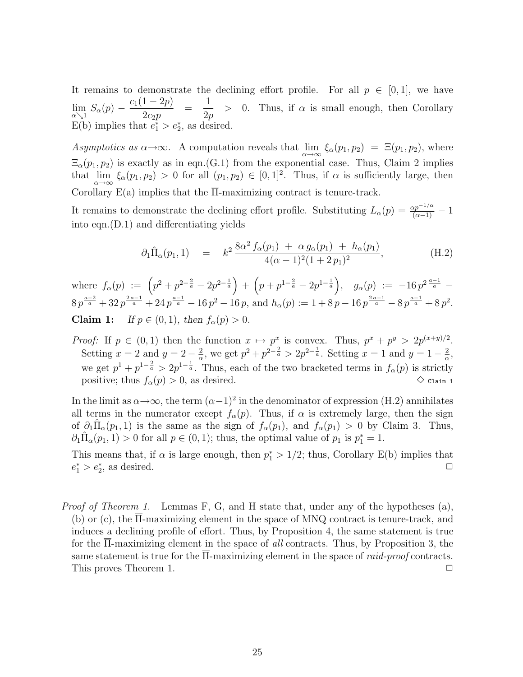It remains to demonstrate the declining effort profile. For all  $p \in [0,1]$ , we have  $\lim_{\alpha\searrow 1} S_{\alpha}(p)$  –  $c_1(1 - 2p)$  $2c_2p$ = 1 2p  $> 0$ . Thus, if  $\alpha$  is small enough, then Corollary E(b) implies that  $e_1^* > e_2^*$ , as desired.

Asymptotics as  $\alpha \to \infty$ . A computation reveals that  $\lim_{\alpha \to \infty} \xi_{\alpha}(p_1, p_2) = \Xi(p_1, p_2)$ , where  $\Xi_{\alpha}(p_1, p_2)$  is exactly as in eqn.(G.1) from the exponential case. Thus, Claim 2 implies that  $\lim_{\alpha \to \infty} \xi_{\alpha}(p_1, p_2) > 0$  for all  $(p_1, p_2) \in [0, 1]^2$ . Thus, if  $\alpha$  is sufficiently large, then Corollary E(a) implies that the  $\overline{\Pi}$ -maximizing contract is tenure-track.

It remains to demonstrate the declining effort profile. Substituting  $L_{\alpha}(p) = \frac{\alpha p^{-1/\alpha}}{(\alpha-1)} - 1$ into eqn.(D.1) and differentiating yields

$$
\partial_1 \hat{\Pi}_{\alpha}(p_1, 1) = k^2 \frac{8\alpha^2 f_{\alpha}(p_1) + \alpha g_{\alpha}(p_1) + h_{\alpha}(p_1)}{4(\alpha - 1)^2 (1 + 2 p_1)^2}, \tag{H.2}
$$

where  $f_{\alpha}(p) := (p^2 + p^{2-\frac{2}{a}} - 2p^{2-\frac{1}{a}}) + (p+p^{1-\frac{2}{a}} - 2p^{1-\frac{1}{a}}), g_{\alpha}(p) := -16p^{2\frac{a-1}{a}} 8p^{\frac{a-2}{a}}+32p^{\frac{2a-1}{a}}+24p^{\frac{a-1}{a}}-16p^2-16p$ , and  $h_{\alpha}(p):=1+8p-16p^{\frac{2a-1}{a}}-8p^{\frac{a-1}{a}}+8p^2$ . **Claim 1:** If  $p \in (0, 1)$ , then  $f_{\alpha}(p) > 0$ .

*Proof:* If  $p \in (0,1)$  then the function  $x \mapsto p^x$  is convex. Thus,  $p^x + p^y > 2p^{(x+y)/2}$ . Setting  $x = 2$  and  $y = 2 - \frac{2}{\alpha}$  $\frac{2}{\alpha}$ , we get  $p^2 + p^{2-\frac{2}{\alpha}} > 2p^{2-\frac{1}{\alpha}}$ . Setting  $x = 1$  and  $y = 1 - \frac{2}{\alpha}$  $\frac{2}{\alpha}$ , we get  $p^1 + p^{1-\frac{2}{a}} > 2p^{1-\frac{1}{a}}$ . Thus, each of the two bracketed terms in  $f_\alpha(p)$  is strictly positive; thus  $f_{\alpha}(p) > 0$ , as desired.  $\Diamond$  claim 1

In the limit as  $\alpha \rightarrow \infty$ , the term  $(\alpha - 1)^2$  in the denominator of expression (H.2) annihilates all terms in the numerator except  $f_{\alpha}(p)$ . Thus, if  $\alpha$  is extremely large, then the sign of  $\partial_1 \hat{\Pi}_{\alpha}(p_1, 1)$  is the same as the sign of  $f_{\alpha}(p_1)$ , and  $f_{\alpha}(p_1) > 0$  by Claim 3. Thus,  $\partial_1 \hat{\Pi}_{\alpha}(p_1, 1) > 0$  for all  $p \in (0, 1)$ ; thus, the optimal value of  $p_1$  is  $p_1^* = 1$ .

This means that, if  $\alpha$  is large enough, then  $p_1^* > 1/2$ ; thus, Corollary E(b) implies that  $e_1^* > e_2^*$ , as desired.  $\Box$ 

Proof of Theorem 1. Lemmas F, G, and H state that, under any of the hypotheses (a), (b) or (c), the Π-maximizing element in the space of MNQ contract is tenure-track, and induces a declining profile of effort. Thus, by Proposition 4, the same statement is true for the Π-maximizing element in the space of all contracts. Thus, by Proposition 3, the same statement is true for the  $\overline{\Pi}$ -maximizing element in the space of *raid-proof* contracts. This proves Theorem 1.  $\Box$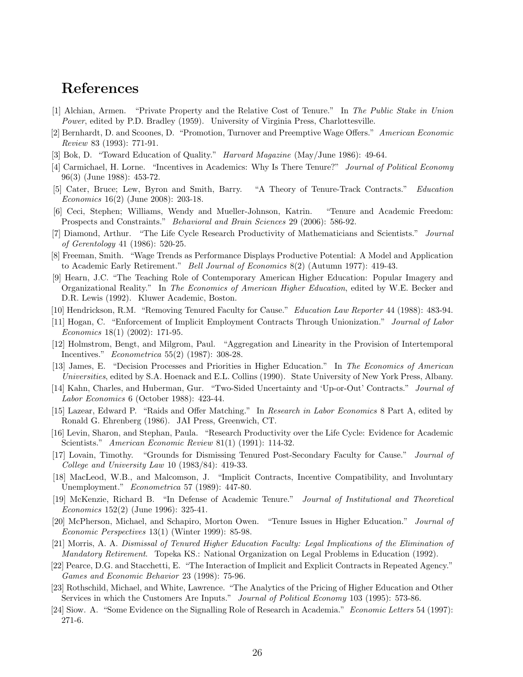### References

- [1] Alchian, Armen. "Private Property and the Relative Cost of Tenure." In The Public Stake in Union Power, edited by P.D. Bradley (1959). University of Virginia Press, Charlottesville.
- [2] Bernhardt, D. and Scoones, D. "Promotion, Turnover and Preemptive Wage Offers." American Economic Review 83 (1993): 771-91.
- [3] Bok, D. "Toward Education of Quality." *Harvard Magazine* (May/June 1986): 49-64.
- [4] Carmichael, H. Lorne. "Incentives in Academics: Why Is There Tenure?" Journal of Political Economy 96(3) (June 1988): 453-72.
- [5] Cater, Bruce; Lew, Byron and Smith, Barry. "A Theory of Tenure-Track Contracts." Education Economics 16(2) (June 2008): 203-18.
- [6] Ceci, Stephen; Williams, Wendy and Mueller-Johnson, Katrin. "Tenure and Academic Freedom: Prospects and Constraints." Behavioral and Brain Sciences 29 (2006): 586-92.
- [7] Diamond, Arthur. "The Life Cycle Research Productivity of Mathematicians and Scientists." Journal of Gerentology 41 (1986): 520-25.
- [8] Freeman, Smith. "Wage Trends as Performance Displays Productive Potential: A Model and Application to Academic Early Retirement." Bell Journal of Economics 8(2) (Autumn 1977): 419-43.
- [9] Hearn, J.C. "The Teaching Role of Contemporary American Higher Education: Popular Imagery and Organizational Reality." In The Economics of American Higher Education, edited by W.E. Becker and D.R. Lewis (1992). Kluwer Academic, Boston.
- [10] Hendrickson, R.M. "Removing Tenured Faculty for Cause." Education Law Reporter 44 (1988): 483-94.
- [11] Hogan, C. "Enforcement of Implicit Employment Contracts Through Unionization." Journal of Labor Economics 18(1) (2002): 171-95.
- [12] Holmstrom, Bengt, and Milgrom, Paul. "Aggregation and Linearity in the Provision of Intertemporal Incentives." Econometrica 55(2) (1987): 308-28.
- [13] James, E. "Decision Processes and Priorities in Higher Education." In The Economics of American Universities, edited by S.A. Hoenack and E.L. Collins (1990). State University of New York Press, Albany.
- [14] Kahn, Charles, and Huberman, Gur. "Two-Sided Uncertainty and 'Up-or-Out' Contracts." Journal of Labor Economics 6 (October 1988): 423-44.
- [15] Lazear, Edward P. "Raids and Offer Matching." In Research in Labor Economics 8 Part A, edited by Ronald G. Ehrenberg (1986). JAI Press, Greenwich, CT.
- [16] Levin, Sharon, and Stephan, Paula. "Research Productivity over the Life Cycle: Evidence for Academic Scientists." American Economic Review 81(1) (1991): 114-32.
- [17] Lovain, Timothy. "Grounds for Dismissing Tenured Post-Secondary Faculty for Cause." Journal of College and University Law 10 (1983/84): 419-33.
- [18] MacLeod, W.B., and Malcomson, J. "Implicit Contracts, Incentive Compatibility, and Involuntary Unemployment." Econometrica 57 (1989): 447-80.
- [19] McKenzie, Richard B. "In Defense of Academic Tenure." Journal of Institutional and Theoretical Economics 152(2) (June 1996): 325-41.
- [20] McPherson, Michael, and Schapiro, Morton Owen. "Tenure Issues in Higher Education." Journal of Economic Perspectives 13(1) (Winter 1999): 85-98.
- [21] Morris, A. A. Dismissal of Tenured Higher Education Faculty: Legal Implications of the Elimination of Mandatory Retirement. Topeka KS.: National Organization on Legal Problems in Education (1992).
- [22] Pearce, D.G. and Stacchetti, E. "The Interaction of Implicit and Explicit Contracts in Repeated Agency." Games and Economic Behavior 23 (1998): 75-96.
- [23] Rothschild, Michael, and White, Lawrence. "The Analytics of the Pricing of Higher Education and Other Services in which the Customers Are Inputs." Journal of Political Economy 103 (1995): 573-86.
- [24] Siow. A. "Some Evidence on the Signalling Role of Research in Academia." Economic Letters 54 (1997): 271-6.